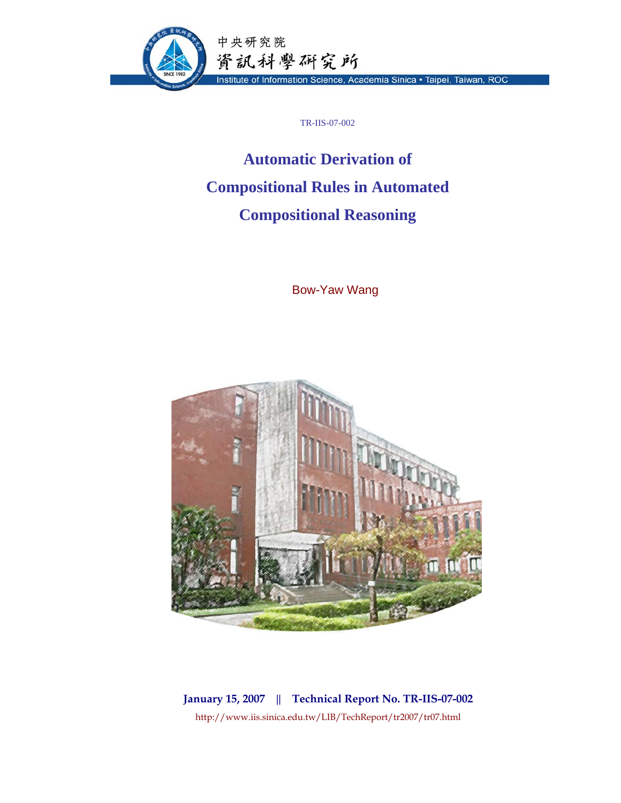

TR-IIS-07-002

# **Automatic Derivation of Compositional Rules in Automated Compositional Reasoning**

Bow-Yaw Wang



**January 15, 2007 || Technical Report No. TR-IIS-07-002**  http://www.iis.sinica.edu.tw/LIB/TechReport/tr2007/tr07.html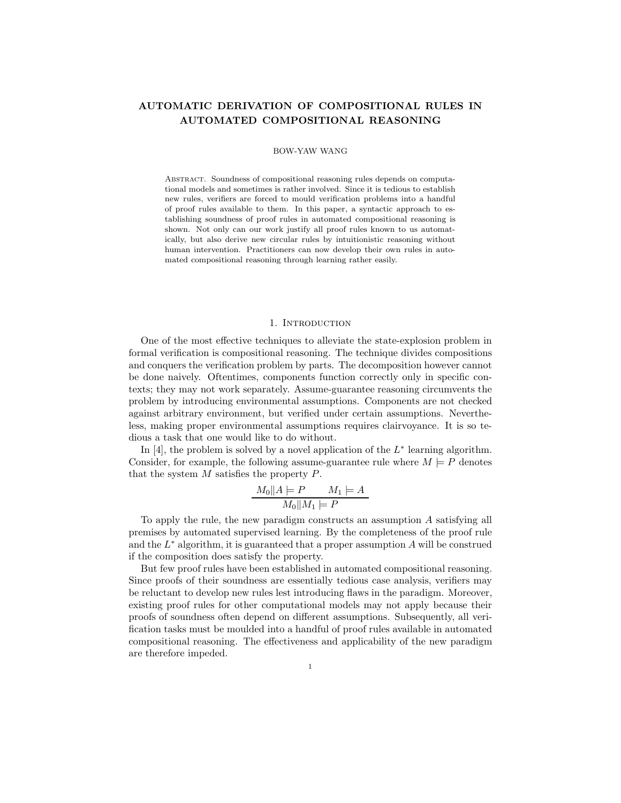## **AUTOMATIC DERIVATION OF COMPOSITIONAL RULES IN AUTOMATED COMPOSITIONAL REASONING**

#### BOW-YAW WANG

Abstract. Soundness of compositional reasoning rules depends on computational models and sometimes is rather involved. Since it is tedious to establish new rules, verifiers are forced to mould verification problems into a handful of proof rules available to them. In this paper, a syntactic approach to establishing soundness of proof rules in automated compositional reasoning is shown. Not only can our work justify all proof rules known to us automatically, but also derive new circular rules by intuitionistic reasoning without human intervention. Practitioners can now develop their own rules in automated compositional reasoning through learning rather easily.

## 1. INTRODUCTION

One of the most effective techniques to alleviate the state-explosion problem in formal verification is compositional reasoning. The technique divides compositions and conquers the verification problem by parts. The decomposition however cannot be done naively. Oftentimes, components function correctly only in specific contexts; they may not work separately. Assume-guarantee reasoning circumvents the problem by introducing environmental assumptions. Components are not checked against arbitrary environment, but verified under certain assumptions. Nevertheless, making proper environmental assumptions requires clairvoyance. It is so tedious a task that one would like to do without.

In [4], the problem is solved by a novel application of the  $L^*$  learning algorithm. Consider, for example, the following assume-guarantee rule where  $M \models P$  denotes that the system  $M$  satisfies the property  $P$ .

$$
\frac{M_0||A| = P \qquad M_1 | = A}{M_0||M_1| = P}
$$

To apply the rule, the new paradigm constructs an assumption A satisfying all premises by automated supervised learning. By the completeness of the proof rule and the  $L^*$  algorithm, it is guaranteed that a proper assumption A will be construed if the composition does satisfy the property.

But few proof rules have been established in automated compositional reasoning. Since proofs of their soundness are essentially tedious case analysis, verifiers may be reluctant to develop new rules lest introducing flaws in the paradigm. Moreover, existing proof rules for other computational models may not apply because their proofs of soundness often depend on different assumptions. Subsequently, all verification tasks must be moulded into a handful of proof rules available in automated compositional reasoning. The effectiveness and applicability of the new paradigm are therefore impeded.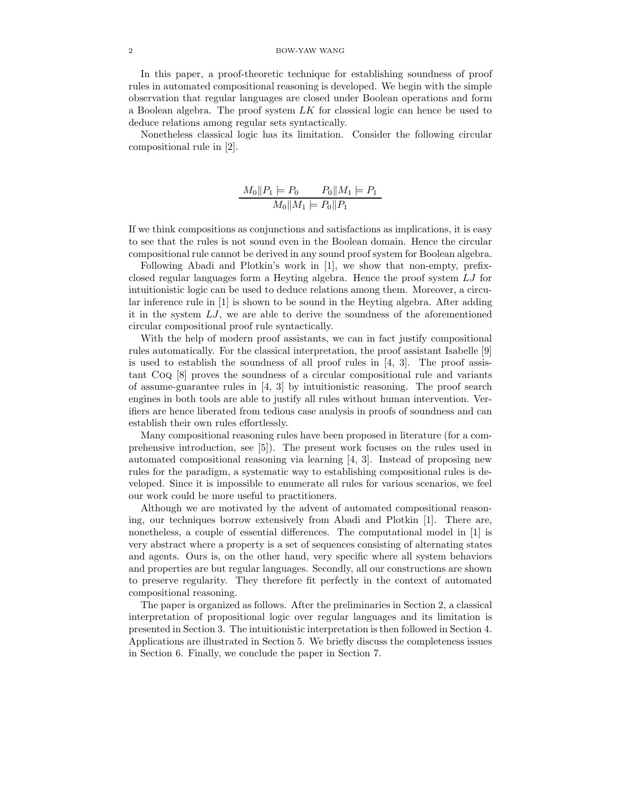## 2 BOW-YAW WANG

In this paper, a proof-theoretic technique for establishing soundness of proof rules in automated compositional reasoning is developed. We begin with the simple observation that regular languages are closed under Boolean operations and form a Boolean algebra. The proof system  $LK$  for classical logic can hence be used to deduce relations among regular sets syntactically.

Nonetheless classical logic has its limitation. Consider the following circular compositional rule in [2].

$$
\frac{M_0\|P_1\| P_0}{M_0\|M_1\| P_0\|P_1} = P_1
$$

If we think compositions as conjunctions and satisfactions as implications, it is easy to see that the rules is not sound even in the Boolean domain. Hence the circular compositional rule cannot be derived in any sound proof system for Boolean algebra.

Following Abadi and Plotkin's work in [1], we show that non-empty, prefixclosed regular languages form a Heyting algebra. Hence the proof system LJ for intuitionistic logic can be used to deduce relations among them. Moreover, a circular inference rule in [1] is shown to be sound in the Heyting algebra. After adding it in the system LJ, we are able to derive the soundness of the aforementioned circular compositional proof rule syntactically.

With the help of modern proof assistants, we can in fact justify compositional rules automatically. For the classical interpretation, the proof assistant Isabelle [9] is used to establish the soundness of all proof rules in [4, 3]. The proof assistant Coq [8] proves the soundness of a circular compositional rule and variants of assume-guarantee rules in  $[4, 3]$  by intuitionistic reasoning. The proof search engines in both tools are able to justify all rules without human intervention. Verifiers are hence liberated from tedious case analysis in proofs of soundness and can establish their own rules effortlessly.

Many compositional reasoning rules have been proposed in literature (for a comprehensive introduction, see [5]). The present work focuses on the rules used in automated compositional reasoning via learning [4, 3]. Instead of proposing new rules for the paradigm, a systematic way to establishing compositional rules is developed. Since it is impossible to enumerate all rules for various scenarios, we feel our work could be more useful to practitioners.

Although we are motivated by the advent of automated compositional reasoning, our techniques borrow extensively from Abadi and Plotkin [1]. There are, nonetheless, a couple of essential differences. The computational model in [1] is very abstract where a property is a set of sequences consisting of alternating states and agents. Ours is, on the other hand, very specific where all system behaviors and properties are but regular languages. Secondly, all our constructions are shown to preserve regularity. They therefore fit perfectly in the context of automated compositional reasoning.

The paper is organized as follows. After the preliminaries in Section 2, a classical interpretation of propositional logic over regular languages and its limitation is presented in Section 3. The intuitionistic interpretation is then followed in Section 4. Applications are illustrated in Section 5. We briefly discuss the completeness issues in Section 6. Finally, we conclude the paper in Section 7.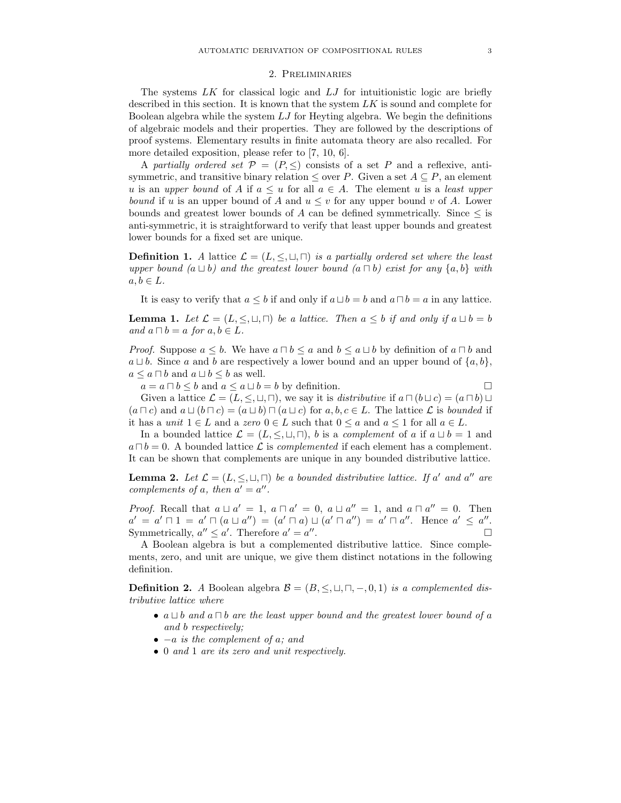#### 2. Preliminaries

The systems  $LK$  for classical logic and  $LJ$  for intuitionistic logic are briefly described in this section. It is known that the system  $LK$  is sound and complete for Boolean algebra while the system  $LJ$  for Heyting algebra. We begin the definitions of algebraic models and their properties. They are followed by the descriptions of proof systems. Elementary results in finite automata theory are also recalled. For more detailed exposition, please refer to [7, 10, 6].

A partially ordered set  $\mathcal{P} = (P, \leq)$  consists of a set P and a reflexive, antisymmetric, and transitive binary relation  $\leq$  over P. Given a set  $A \subseteq P$ , an element u is an upper bound of A if  $a \leq u$  for all  $a \in A$ . The element u is a least upper bound if u is an upper bound of A and  $u \leq v$  for any upper bound v of A. Lower bounds and greatest lower bounds of A can be defined symmetrically. Since  $\leq$  is anti-symmetric, it is straightforward to verify that least upper bounds and greatest lower bounds for a fixed set are unique.

**Definition 1.** A lattice  $\mathcal{L} = (L, \leq, \sqcup, \sqcap)$  is a partially ordered set where the least upper bound  $(a \sqcup b)$  and the greatest lower bound  $(a \sqcap b)$  exist for any  $\{a, b\}$  with  $a, b \in L$ .

It is easy to verify that  $a \leq b$  if and only if  $a \sqcup b = b$  and  $a \sqcap b = a$  in any lattice.

**Lemma 1.** Let  $\mathcal{L} = (L, \leq, \sqcup, \sqcap)$  be a lattice. Then  $a \leq b$  if and only if  $a \sqcup b = b$ and  $a \sqcap b = a$  for  $a, b \in L$ .

*Proof.* Suppose  $a \leq b$ . We have  $a \sqcap b \leq a$  and  $b \leq a \sqcup b$  by definition of  $a \sqcap b$  and  $a \sqcup b$ . Since a and b are respectively a lower bound and an upper bound of  $\{a, b\}$ ,  $a \leq a \sqcap b$  and  $a \sqcup b \leq b$  as well.

 $a = a \sqcap b \leq b$  and  $a \leq a \sqcup b = b$  by definition.

Given a lattice  $\mathcal{L} = (L, \leq, \sqcup, \sqcap)$ , we say it is *distributive* if  $a \sqcap (b \sqcup c) = (a \sqcap b) \sqcup$  $(a \sqcap c)$  and  $a \sqcup (b \sqcap c) = (a \sqcup b) \sqcap (a \sqcup c)$  for  $a, b, c \in L$ . The lattice  $\mathcal L$  is bounded if it has a *unit*  $1 \in L$  and a zero  $0 \in L$  such that  $0 \le a$  and  $a \le 1$  for all  $a \in L$ .

In a bounded lattice  $\mathcal{L} = (L, \leq, \sqcup, \sqcap)$ , b is a complement of a if  $a \sqcup b = 1$  and  $a \sqcap b = 0$ . A bounded lattice  $\mathcal L$  is *complemented* if each element has a complement. It can be shown that complements are unique in any bounded distributive lattice.

**Lemma 2.** Let  $\mathcal{L} = (L, \leq, \sqcup, \sqcap)$  be a bounded distributive lattice. If a' and a'' are complements of a, then  $a' = a''$ .

*Proof.* Recall that  $a \sqcup a' = 1$ ,  $a \sqcap a' = 0$ ,  $a \sqcup a'' = 1$ , and  $a \sqcap a'' = 0$ . Then  $a' = a' \sqcap 1 = a' \sqcap (a \sqcup a'') = (a' \sqcap a) \sqcup (a' \sqcap a'') = a' \sqcap a''$ . Hence  $a' \le a''$ . Symmetrically,  $a'' \le a'$ . Therefore  $a' = a''$ .

A Boolean algebra is but a complemented distributive lattice. Since complements, zero, and unit are unique, we give them distinct notations in the following definition.

**Definition 2.** A Boolean algebra  $\mathcal{B} = (B, \leq, \sqcup, \sqcap, -, 0, 1)$  is a complemented distributive lattice where

- $a \sqcup b$  and  $a \sqcap b$  are the least upper bound and the greatest lower bound of a and b respectively;
- $\bullet$  –a is the complement of a; and
- 0 and 1 are its zero and unit respectively.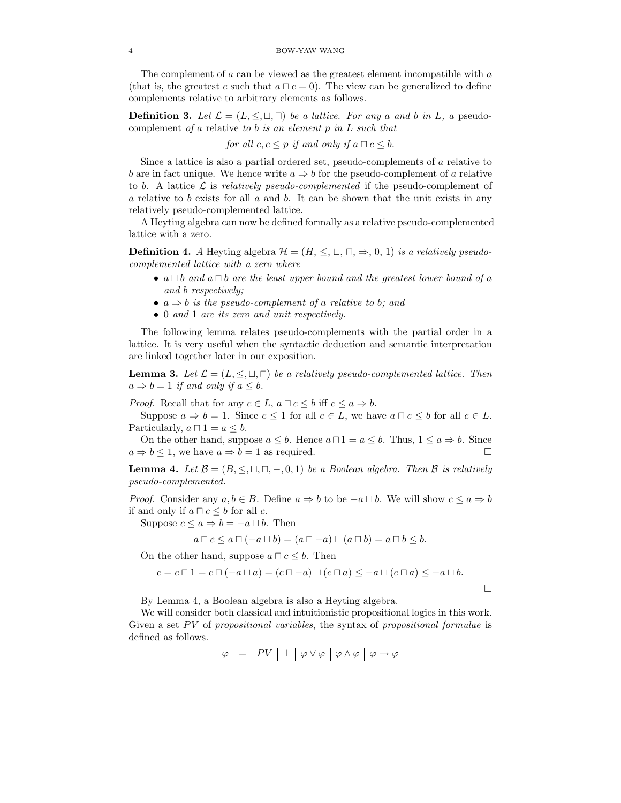The complement of a can be viewed as the greatest element incompatible with a (that is, the greatest c such that  $a \sqcap c = 0$ ). The view can be generalized to define complements relative to arbitrary elements as follows.

**Definition 3.** Let  $\mathcal{L} = (L, \leq, \sqcup, \sqcap)$  be a lattice. For any a and b in L, a pseudocomplement of a relative to b is an element  $p$  in  $L$  such that

for all  $c, c \leq p$  if and only if  $a \sqcap c \leq b$ .

Since a lattice is also a partial ordered set, pseudo-complements of a relative to b are in fact unique. We hence write  $a \Rightarrow b$  for the pseudo-complement of a relative to b. A lattice  $\mathcal L$  is relatively pseudo-complemented if the pseudo-complement of a relative to b exists for all  $a$  and  $b$ . It can be shown that the unit exists in any relatively pseudo-complemented lattice.

A Heyting algebra can now be defined formally as a relative pseudo-complemented lattice with a zero.

**Definition 4.** A Heyting algebra  $\mathcal{H} = (H, \leq, \sqcup, \sqcap, \Rightarrow, 0, 1)$  is a relatively pseudocomplemented lattice with a zero where

- $a \sqcup b$  and  $a \sqcap b$  are the least upper bound and the greatest lower bound of a and b respectively;
- $a \Rightarrow b$  is the pseudo-complement of a relative to b; and
- 0 and 1 are its zero and unit respectively.

The following lemma relates pseudo-complements with the partial order in a lattice. It is very useful when the syntactic deduction and semantic interpretation are linked together later in our exposition.

**Lemma 3.** Let  $\mathcal{L} = (L, \leq, \sqcup, \sqcap)$  be a relatively pseudo-complemented lattice. Then  $a \Rightarrow b = 1$  if and only if  $a \leq b$ .

*Proof.* Recall that for any  $c \in L$ ,  $a \sqcap c \leq b$  iff  $c \leq a \Rightarrow b$ .

Suppose  $a \Rightarrow b = 1$ . Since  $c \le 1$  for all  $c \in L$ , we have  $a \sqcap c \le b$  for all  $c \in L$ . Particularly,  $a \sqcap 1 = a \leq b$ .

On the other hand, suppose  $a \leq b$ . Hence  $a \sqcap 1 = a \leq b$ . Thus,  $1 \leq a \Rightarrow b$ . Since  $a \Rightarrow b \leq 1$ , we have  $a \Rightarrow b = 1$  as required.

**Lemma 4.** Let  $\mathcal{B} = (B, \leq, \sqcup, \sqcap, -, 0, 1)$  be a Boolean algebra. Then  $\mathcal{B}$  is relatively pseudo-complemented.

*Proof.* Consider any  $a, b \in B$ . Define  $a \Rightarrow b$  to be  $-a \sqcup b$ . We will show  $c \le a \Rightarrow b$ if and only if  $a \sqcap c \leq b$  for all c.

Suppose  $c \leq a \Rightarrow b = -a \sqcup b$ . Then

$$
a \sqcap c \le a \sqcap (-a \sqcup b) = (a \sqcap -a) \sqcup (a \sqcap b) = a \sqcap b \le b.
$$

On the other hand, suppose  $a \sqcap c \leq b$ . Then

$$
c = c \sqcap 1 = c \sqcap (-a \sqcup a) = (c \sqcap -a) \sqcup (c \sqcap a) \leq -a \sqcup (c \sqcap a) \leq -a \sqcup b.
$$

 $\Box$ 

By Lemma 4, a Boolean algebra is also a Heyting algebra.

We will consider both classical and intuitionistic propositional logics in this work. Given a set  $PV$  of propositional variables, the syntax of propositional formulae is defined as follows.

$$
\varphi = PV \perp \varphi \vee \varphi \varphi \varphi \wedge \varphi \varphi \varphi \rightarrow \varphi
$$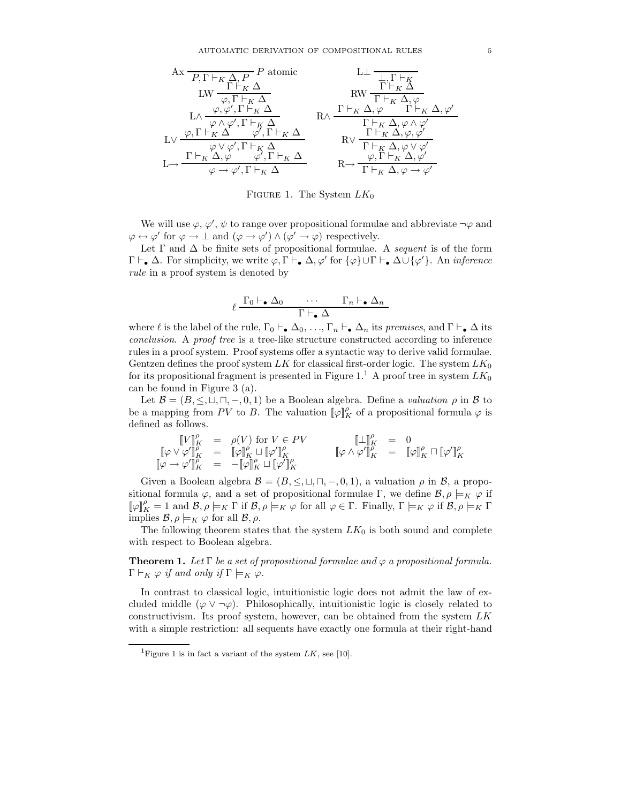

FIGURE 1. The System  $LK_0$ 

We will use  $\varphi, \varphi', \psi$  to range over propositional formulae and abbreviate  $\neg \varphi$  and  $\varphi \leftrightarrow \varphi'$  for  $\varphi \to \bot$  and  $(\varphi \to \varphi') \land (\varphi' \to \varphi)$  respectively.

Let  $\Gamma$  and  $\Delta$  be finite sets of propositional formulae. A sequent is of the form  $\Gamma \vdash_{\bullet} \Delta$ . For simplicity, we write  $\varphi, \Gamma \vdash_{\bullet} \Delta, \varphi'$  for  $\{\varphi\} \cup \Gamma \vdash_{\bullet} \Delta \cup \{\varphi'\}$ . An *inference* rule in a proof system is denoted by

$$
\ell \frac{\Gamma_0 \vdash_{\bullet} \Delta_0 \qquad \cdots \qquad \Gamma_n \vdash_{\bullet} \Delta_n}{\Gamma \vdash_{\bullet} \Delta}
$$

where  $\ell$  is the label of the rule,  $\Gamma_0 \vdash_{\bullet} \Delta_0, \ldots, \Gamma_n \vdash_{\bullet} \Delta_n$  its premises, and  $\Gamma \vdash_{\bullet} \Delta$  its conclusion. A proof tree is a tree-like structure constructed according to inference rules in a proof system. Proof systems offer a syntactic way to derive valid formulae. Gentzen defines the proof system LK for classical first-order logic. The system  $LK_0$ for its propositional fragment is presented in Figure 1.<sup>1</sup> A proof tree in system  $LK_0$ can be found in Figure 3 (a).

Let  $\mathcal{B} = (B, \leq, \sqcup, \sqcap, -, 0, 1)$  be a Boolean algebra. Define a valuation  $\rho$  in  $\mathcal{B}$  to be a mapping from PV to B. The valuation  $[\![\varphi]\!]^{\rho}_K$  of a propositional formula  $\varphi$  is defined as follows.

$$
\begin{array}{rcl}\n\llbracket V \rrbracket^{\rho}_{K} & = & \rho(V) \text{ for } V \in PV \\
\llbracket \varphi \vee \varphi' \rrbracket^{\rho}_{K} & = & \llbracket \varphi \rrbracket^{\rho}_{K} \sqcup \llbracket \varphi' \rrbracket^{\rho}_{K} \\
\llbracket \varphi \wedge \varphi' \rrbracket^{\rho}_{K} & = & \llbracket \varphi \rrbracket^{\rho}_{K} \sqcap \llbracket \varphi' \rrbracket^{\rho}_{K} \\
\llbracket \varphi \wedge \varphi' \rrbracket^{\rho}_{K} & = & \llbracket \varphi \rrbracket^{\rho}_{K} \sqcap \llbracket \varphi' \rrbracket^{\rho}_{K} \\
\end{array}
$$

Given a Boolean algebra  $\mathcal{B} = (B, \leq, \sqcup, \sqcap, -, 0, 1)$ , a valuation  $\rho$  in  $\mathcal{B}$ , a propositional formula  $\varphi$ , and a set of propositional formulae Γ, we define  $\mathcal{B}, \rho \models_K \varphi$  if  $[\![\varphi]\!]^{\rho}_K = 1$  and  $\mathcal{B}, \rho \models_K \Gamma$  if  $\mathcal{B}, \rho \models_K \varphi$  for all  $\varphi \in \Gamma$ . Finally,  $\Gamma \models_K \varphi$  if  $\mathcal{B}, \rho \models_K \Gamma$ implies  $\mathcal{B}, \rho \models_K \varphi$  for all  $\mathcal{B}, \rho$ .

The following theorem states that the system  $LK_0$  is both sound and complete with respect to Boolean algebra.

**Theorem 1.** Let  $\Gamma$  be a set of propositional formulae and  $\varphi$  a propositional formula.  $\Gamma \vdash_K \varphi$  if and only if  $\Gamma \models_K \varphi$ .

In contrast to classical logic, intuitionistic logic does not admit the law of excluded middle  $(\varphi \vee \neg \varphi)$ . Philosophically, intuitionistic logic is closely related to constructivism. Its proof system, however, can be obtained from the system  $LK$ with a simple restriction: all sequents have exactly one formula at their right-hand

<sup>&</sup>lt;sup>1</sup>Figure 1 is in fact a variant of the system  $LK$ , see [10].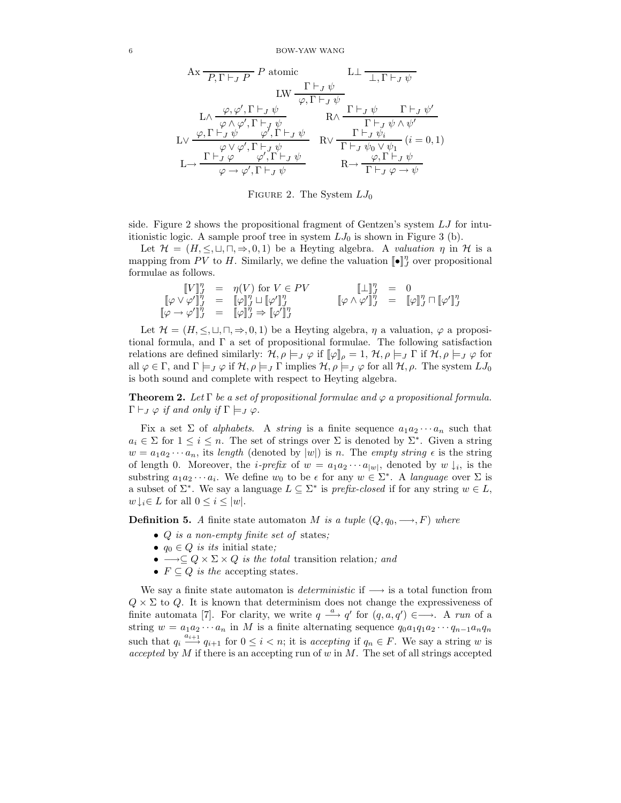$$
\text{Ax} \frac{\Gamma \vdash_J P}{P, \Gamma \vdash_J P} P \text{ atomic} \qquad \text{L} \perp \frac{\Gamma \vdash_J \psi}{\bot, \Gamma \vdash_J \psi} \n\text{L} \frac{\varphi, \varphi', \Gamma \vdash_J \psi}{\varphi, \Gamma \vdash_J \psi} \qquad \text{R} \wedge \frac{\Gamma \vdash_J \psi}{\Gamma \vdash_J \psi \wedge \psi'} \n\text{L} \vee \frac{\varphi, \Gamma \vdash_J \psi}{\varphi \wedge \varphi', \Gamma \vdash_J \psi} \qquad \text{R} \vee \frac{\Gamma \vdash_J \psi \wedge \psi'}{\Gamma \vdash_J \psi \wedge \psi'} \qquad (i = 0, 1) \n\text{L} \rightarrow \frac{\Gamma \vdash_J \varphi \qquad \varphi', \Gamma \vdash_J \psi}{\varphi \rightarrow \varphi', \Gamma \vdash_J \psi} \qquad \text{R} \rightarrow \frac{\varphi, \Gamma \vdash_J \psi}{\Gamma \vdash_J \varphi \rightarrow \psi} \n\text{R} \rightarrow \frac{\varphi, \Gamma \vdash_J \psi}{\Gamma \vdash_J \varphi \rightarrow \psi}
$$

FIGURE 2. The System  $LJ_0$ 

side. Figure 2 shows the propositional fragment of Gentzen's system LJ for intuitionistic logic. A sample proof tree in system  $LJ_0$  is shown in Figure 3 (b).

Let  $\mathcal{H} = (H, \leq, \sqcup, \sqcap, \Rightarrow, 0, 1)$  be a Heyting algebra. A valuation  $\eta$  in  $\mathcal{H}$  is a mapping from PV to H. Similarly, we define the valuation  $[\![\bullet]\!]_{J}^{\eta}$  over propositional formulae as follows.

$$
\begin{array}{rcl}\n\llbracket V \rrbracket_J^\eta & = & \eta(V) \text{ for } V \in PV \\
\llbracket \varphi \vee \varphi' \rrbracket_J^\eta & = & \llbracket \varphi \rrbracket_J^\eta \sqcup \llbracket \varphi' \rrbracket_J^\eta \\
\llbracket \varphi \wedge \varphi' \rrbracket_J^\eta & = & \llbracket \varphi \rrbracket_J^\eta \sqcap \llbracket \varphi \wedge \varphi' \rrbracket_J^\eta \\
\llbracket \varphi \wedge \varphi' \rrbracket_J^\eta & = & \llbracket \varphi \rrbracket_J^\eta \sqcap \llbracket \varphi' \rrbracket_J^\eta\n\end{array}
$$

Let  $\mathcal{H} = (H, \leq, \sqcup, \sqcap, \Rightarrow, 0, 1)$  be a Heyting algebra,  $\eta$  a valuation,  $\varphi$  a propositional formula, and Γ a set of propositional formulae. The following satisfaction relations are defined similarly:  $\mathcal{H}, \rho \models_J \varphi$  if  $[\varphi]_\rho = 1, \mathcal{H}, \rho \models_J \Gamma$  if  $\mathcal{H}, \rho \models_J \varphi$  for all  $\varphi \in \Gamma$ , and  $\Gamma \models_J \varphi$  if  $\mathcal{H}, \rho \models_J \Gamma$  implies  $\mathcal{H}, \rho \models_J \varphi$  for all  $\mathcal{H}, \rho$ . The system  $LJ_0$ is both sound and complete with respect to Heyting algebra.

**Theorem 2.** Let  $\Gamma$  be a set of propositional formulae and  $\varphi$  a propositional formula.  $\Gamma \vdash_J \varphi$  if and only if  $\Gamma \models_J \varphi$ .

Fix a set  $\Sigma$  of *alphabets*. A *string* is a finite sequence  $a_1 a_2 \cdots a_n$  such that  $a_i \in \Sigma$  for  $1 \leq i \leq n$ . The set of strings over  $\Sigma$  is denoted by  $\Sigma^*$ . Given a string  $w = a_1 a_2 \cdots a_n$ , its length (denoted by  $|w|$ ) is n. The empty string  $\epsilon$  is the string of length 0. Moreover, the *i-prefix* of  $w = a_1 a_2 \cdots a_{|w|}$ , denoted by  $w \downarrow_i$ , is the substring  $a_1a_2\cdots a_i$ . We define  $w_0$  to be  $\epsilon$  for any  $w \in \Sigma^*$ . A language over  $\Sigma$  is a subset of  $\Sigma^*$ . We say a language  $L \subseteq \Sigma^*$  is prefix-closed if for any string  $w \in L$ ,  $w \downarrow_i \in L$  for all  $0 \leq i \leq |w|$ .

**Definition 5.** A finite state automaton M is a tuple  $(Q, q_0, \rightarrow, F)$  where

- *Q* is a non-empty finite set of states;
- $q_0 \in Q$  is its initial state;
- $\longrightarrow \subseteq Q \times \Sigma \times Q$  is the total transition relation; and
- $F \subseteq Q$  is the accepting states.

We say a finite state automaton is *deterministic* if  $\longrightarrow$  is a total function from  $Q \times \Sigma$  to Q. It is known that determinism does not change the expressiveness of finite automata [7]. For clarity, we write  $q \stackrel{a}{\longrightarrow} q'$  for  $(q, a, q') \in \longrightarrow$ . A run of a string  $w = a_1 a_2 \cdots a_n$  in M is a finite alternating sequence  $q_0 a_1 q_1 a_2 \cdots q_{n-1} a_n q_n$ such that  $q_i \stackrel{a_{i+1}}{\longrightarrow} q_{i+1}$  for  $0 \leq i < n$ ; it is accepting if  $q_n \in F$ . We say a string w is accepted by  $M$  if there is an accepting run of  $w$  in  $M$ . The set of all strings accepted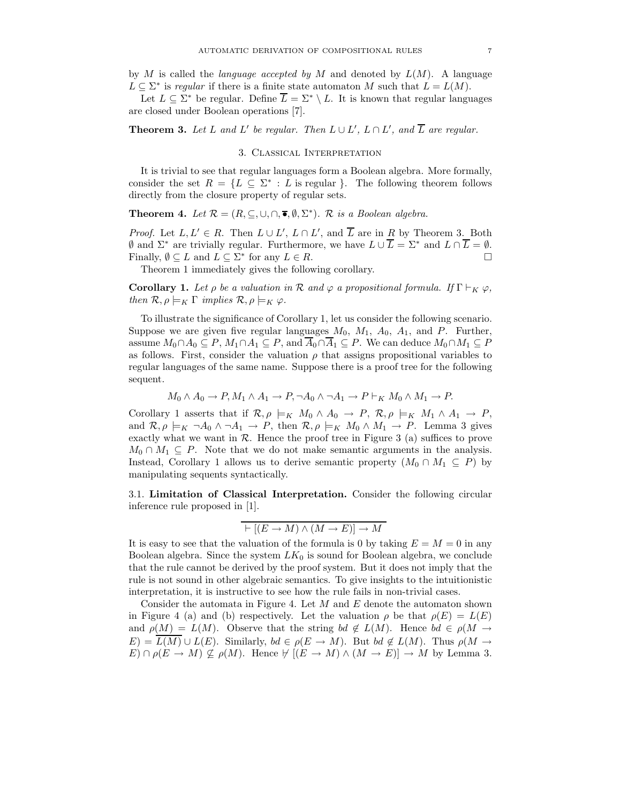by M is called the *language accepted by M* and denoted by  $L(M)$ . A language  $L \subseteq \Sigma^*$  is regular if there is a finite state automaton M such that  $L = L(M)$ .

Let  $L \subset \Sigma^*$  be regular. Define  $\overline{L} = \Sigma^* \setminus L$ . It is known that regular languages are closed under Boolean operations [7].

**Theorem 3.** Let L and L' be regular. Then  $L \cup L'$ ,  $L \cap L'$ , and  $\overline{L}$  are regular.

## 3. Classical Interpretation

It is trivial to see that regular languages form a Boolean algebra. More formally, consider the set  $R = \{L \subseteq \Sigma^* : L \text{ is regular } \}.$  The following theorem follows directly from the closure property of regular sets.

**Theorem 4.** Let  $\mathcal{R} = (R, \subseteq, \cup, \cap, \overline{\bullet}, \emptyset, \Sigma^*)$ . R is a Boolean algebra.

*Proof.* Let  $L, L' \in R$ . Then  $L \cup L', L \cap L'$ , and  $\overline{L}$  are in R by Theorem 3. Both  $\emptyset$  and  $\Sigma^*$  are trivially regular. Furthermore, we have  $L \cup \overline{L} = \Sigma^*$  and  $L \cap \overline{L} = \emptyset$ . Finally,  $\emptyset \subseteq L$  and  $L \subseteq \Sigma^*$  for any  $L \in R$ .

Theorem 1 immediately gives the following corollary.

**Corollary 1.** Let  $\rho$  be a valuation in  $\mathcal R$  and  $\varphi$  a propositional formula. If  $\Gamma \vdash_K \varphi$ , then  $\mathcal{R}, \rho \models_K \Gamma$  implies  $\mathcal{R}, \rho \models_K \varphi$ .

To illustrate the significance of Corollary 1, let us consider the following scenario. Suppose we are given five regular languages  $M_0$ ,  $M_1$ ,  $A_0$ ,  $A_1$ , and P. Further, assume  $M_0 \cap A_0 \subseteq P$ ,  $M_1 \cap A_1 \subseteq P$ , and  $\overline{A}_0 \cap \overline{A}_1 \subseteq P$ . We can deduce  $M_0 \cap M_1 \subseteq P$ as follows. First, consider the valuation  $\rho$  that assigns propositional variables to regular languages of the same name. Suppose there is a proof tree for the following sequent.

$$
M_0 \wedge A_0 \to P, M_1 \wedge A_1 \to P, \neg A_0 \wedge \neg A_1 \to P \vdash_K M_0 \wedge M_1 \to P.
$$

Corollary 1 asserts that if  $\mathcal{R}, \rho \models_K M_0 \wedge A_0 \to P$ ,  $\mathcal{R}, \rho \models_K M_1 \wedge A_1 \to P$ , and  $\mathcal{R}, \rho \models_K \neg A_0 \land \neg A_1 \to P$ , then  $\mathcal{R}, \rho \models_K M_0 \land M_1 \to P$ . Lemma 3 gives exactly what we want in  $R$ . Hence the proof tree in Figure 3 (a) suffices to prove  $M_0 \cap M_1 \subseteq P$ . Note that we do not make semantic arguments in the analysis. Instead, Corollary 1 allows us to derive semantic property  $(M_0 \cap M_1 \subseteq P)$  by manipulating sequents syntactically.

3.1. **Limitation of Classical Interpretation.** Consider the following circular inference rule proposed in [1].

$$
\vdash [(E \to M) \land (M \to E)] \to M
$$

It is easy to see that the valuation of the formula is 0 by taking  $E = M = 0$  in any Boolean algebra. Since the system  $LK_0$  is sound for Boolean algebra, we conclude that the rule cannot be derived by the proof system. But it does not imply that the rule is not sound in other algebraic semantics. To give insights to the intuitionistic interpretation, it is instructive to see how the rule fails in non-trivial cases.

Consider the automata in Figure 4. Let  $M$  and  $E$  denote the automaton shown in Figure 4 (a) and (b) respectively. Let the valuation  $\rho$  be that  $\rho(E) = L(E)$ and  $\rho(M) = L(M)$ . Observe that the string bd  $\notin L(M)$ . Hence bd  $\in \rho(M \rightarrow$  $E) = \overline{L(M)} \cup L(E)$ . Similarly,  $bd \in \rho(E \to M)$ . But  $bd \notin L(M)$ . Thus  $\rho(M \to \infty)$  $E) \cap \rho(E \to M) \nsubseteq \rho(M)$ . Hence  $\forall [(E \to M) \land (M \to E)] \to M$  by Lemma 3.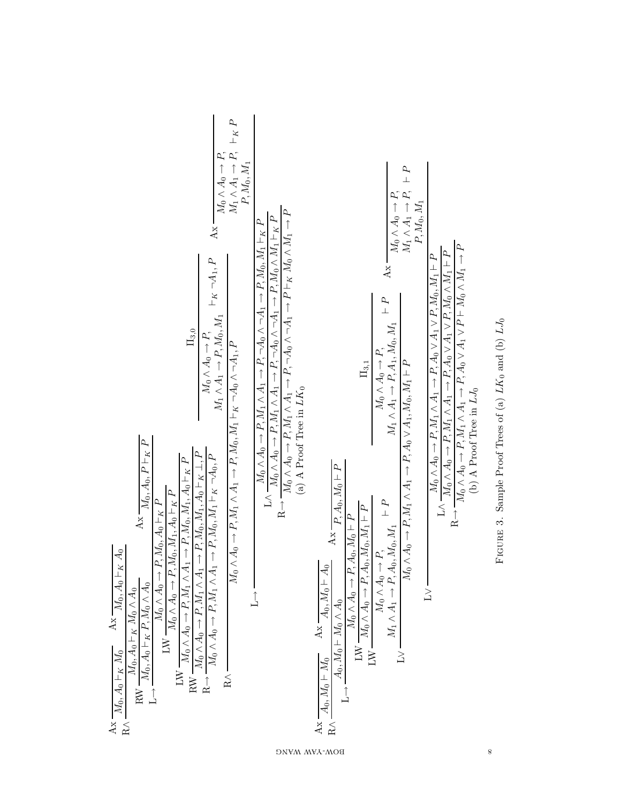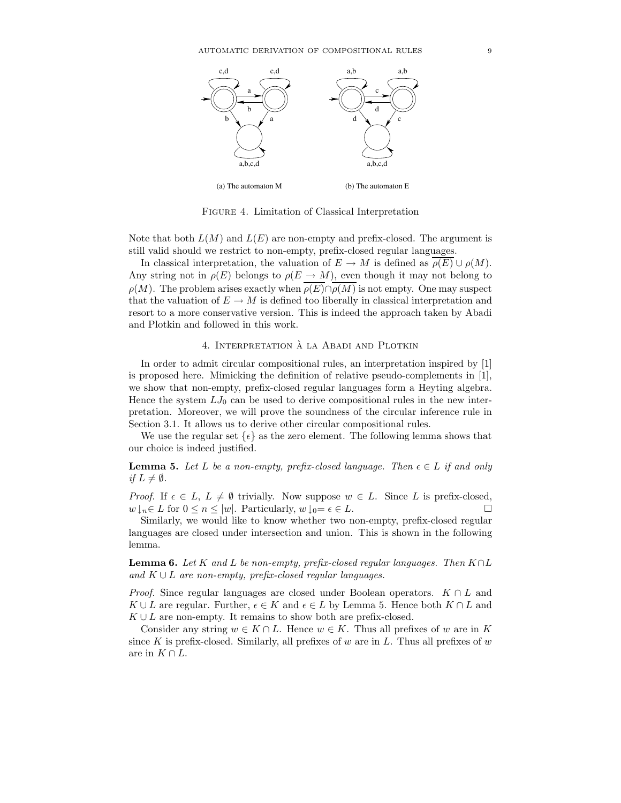

Figure 4. Limitation of Classical Interpretation

Note that both  $L(M)$  and  $L(E)$  are non-empty and prefix-closed. The argument is still valid should we restrict to non-empty, prefix-closed regular languages.

In classical interpretation, the valuation of  $E \to M$  is defined as  $\rho(E) \cup \rho(M)$ . Any string not in  $\rho(E)$  belongs to  $\rho(E \to M)$ , even though it may not belong to  $\rho(M)$ . The problem arises exactly when  $\rho(E) \cap \overline{\rho(M)}$  is not empty. One may suspect that the valuation of  $E \to M$  is defined too liberally in classical interpretation and resort to a more conservative version. This is indeed the approach taken by Abadi and Plotkin and followed in this work.

## 4. INTERPRETATION À LA ABADI AND PLOTKIN

In order to admit circular compositional rules, an interpretation inspired by [1] is proposed here. Mimicking the definition of relative pseudo-complements in [1], we show that non-empty, prefix-closed regular languages form a Heyting algebra. Hence the system  $LJ_0$  can be used to derive compositional rules in the new interpretation. Moreover, we will prove the soundness of the circular inference rule in Section 3.1. It allows us to derive other circular compositional rules.

We use the regular set  $\{\epsilon\}$  as the zero element. The following lemma shows that our choice is indeed justified.

## **Lemma 5.** Let L be a non-empty, prefix-closed language. Then  $\epsilon \in L$  if and only if  $L \neq \emptyset$ .

*Proof.* If  $\epsilon \in L$ ,  $L \neq \emptyset$  trivially. Now suppose  $w \in L$ . Since L is prefix-closed,  $w\downarrow_n \in L$  for  $0 \leq n \leq |w|$ . Particularly,  $w\downarrow_0 = \epsilon \in L$ .

Similarly, we would like to know whether two non-empty, prefix-closed regular languages are closed under intersection and union. This is shown in the following lemma.

**Lemma 6.** Let K and L be non-empty, prefix-closed regular languages. Then  $K \cap L$ and  $K \cup L$  are non-empty, prefix-closed regular languages.

*Proof.* Since regular languages are closed under Boolean operators.  $K \cap L$  and  $K \cup L$  are regular. Further,  $\epsilon \in K$  and  $\epsilon \in L$  by Lemma 5. Hence both  $K \cap L$  and  $K \cup L$  are non-empty. It remains to show both are prefix-closed.

Consider any string  $w \in K \cap L$ . Hence  $w \in K$ . Thus all prefixes of w are in K since K is prefix-closed. Similarly, all prefixes of  $w$  are in  $L$ . Thus all prefixes of  $w$ are in  $K \cap L$ .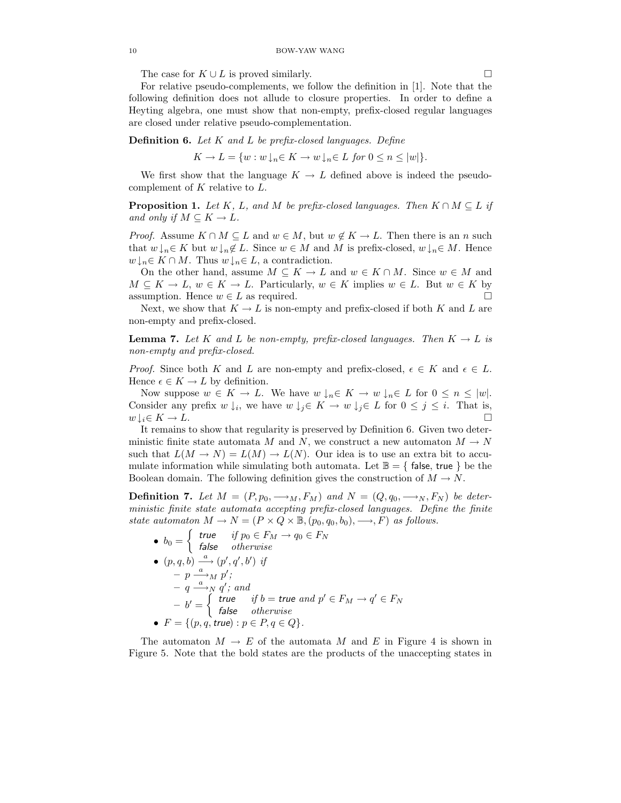The case for  $K \cup L$  is proved similarly.

For relative pseudo-complements, we follow the definition in [1]. Note that the following definition does not allude to closure properties. In order to define a Heyting algebra, one must show that non-empty, prefix-closed regular languages are closed under relative pseudo-complementation.

**Definition 6.** Let K and L be prefix-closed languages. Define

 $K \to L = \{w : w \downarrow_n \in K \to w \downarrow_n \in L \text{ for } 0 \leq n \leq |w| \}.$ 

We first show that the language  $K \to L$  defined above is indeed the pseudocomplement of  $K$  relative to  $L$ .

**Proposition 1.** Let K, L, and M be prefix-closed languages. Then  $K \cap M \subseteq L$  if and only if  $M \subseteq K \to L$ .

*Proof.* Assume  $K \cap M \subseteq L$  and  $w \in M$ , but  $w \notin K \to L$ . Then there is an n such that  $w\downarrow_n \in K$  but  $w\downarrow_n \notin L$ . Since  $w \in M$  and M is prefix-closed,  $w\downarrow_n \in M$ . Hence  $w\downarrow_n\in K\cap M$ . Thus  $w\downarrow_n\in L$ , a contradiction.

On the other hand, assume  $M \subseteq K \to L$  and  $w \in K \cap M$ . Since  $w \in M$  and  $M \subseteq K \to L$ ,  $w \in K \to L$ . Particularly,  $w \in K$  implies  $w \in L$ . But  $w \in K$  by assumption. Hence  $w \in L$  as required.  $\Box$ 

Next, we show that  $K \to L$  is non-empty and prefix-closed if both K and L are non-empty and prefix-closed.

**Lemma 7.** Let K and L be non-empty, prefix-closed languages. Then  $K \to L$  is non-empty and prefix-closed.

*Proof.* Since both K and L are non-empty and prefix-closed,  $\epsilon \in K$  and  $\epsilon \in L$ . Hence  $\epsilon \in K \to L$  by definition.

Now suppose  $w \in K \to L$ . We have  $w \downarrow_n \in K \to w \downarrow_n \in L$  for  $0 \le n \le |w|$ . Consider any prefix  $w \downarrow_i$ , we have  $w \downarrow_i \in K \to w \downarrow_i \in L$  for  $0 \leq j \leq i$ . That is,  $w \downarrow_i \in K \to L.$ 

It remains to show that regularity is preserved by Definition 6. Given two deterministic finite state automata M and N, we construct a new automaton  $M \to N$ such that  $L(M \to N) = L(M) \to L(N)$ . Our idea is to use an extra bit to accumulate information while simulating both automata. Let  $\mathbb{B} = \{$  false, true  $\}$  be the Boolean domain. The following definition gives the construction of  $M \to N$ .

**Definition 7.** Let  $M = (P, p_0, \longrightarrow_M, F_M)$  and  $N = (Q, q_0, \longrightarrow_N, F_N)$  be deterministic finite state automata accepting prefix-closed languages. Define the finite state automaton  $M \to N = (P \times Q \times \mathbb{B}, (p_0, q_0, b_0), \longrightarrow, F)$  as follows.

\n- \n
$$
b_0 = \n \begin{cases} \n \text{true} & \text{if } p_0 \in F_M \to q_0 \in F_N \\
 \text{false} & \text{otherwise} \n \end{cases}
$$
\n
\n- \n $(p, q, b) \xrightarrow{\alpha} (p', q', b') \text{ if } \neg p \xrightarrow{\alpha} M p';$ \n $-q \xrightarrow{\alpha} N q'; \text{ and } \neg b' = \n \begin{cases} \n \text{true} & \text{if } b = \text{true} \text{ and } p' \in F_M \to q' \in F_N \\
 \text{false} & \text{otherwise} \n \end{cases}$ \n
\n- \n $F = \{(p, q, \text{true}) : p \in P, q \in Q\}.$ \n
\n

The automaton  $M \to E$  of the automata M and E in Figure 4 is shown in Figure 5. Note that the bold states are the products of the unaccepting states in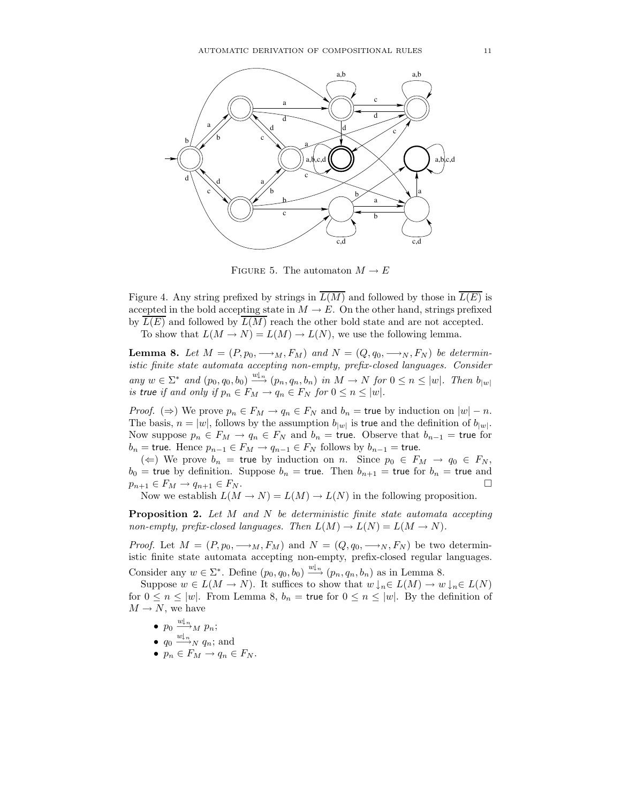

FIGURE 5. The automaton  $M \to E$ 

Figure 4. Any string prefixed by strings in  $\overline{L(M)}$  and followed by those in  $\overline{L(E)}$  is accepted in the bold accepting state in  $M \to E$ . On the other hand, strings prefixed by  $L(E)$  and followed by  $L(M)$  reach the other bold state and are not accepted.

To show that  $L(M \to N) = L(M) \to L(N)$ , we use the following lemma.

**Lemma 8.** Let  $M = (P, p_0, \longrightarrow_M, F_M)$  and  $N = (Q, q_0, \longrightarrow_N, F_N)$  be deterministic finite state automata accepting non-empty, prefix-closed languages. Consider any  $w \in \Sigma^*$  and  $(p_0, q_0, b_0) \stackrel{w|_n}{\longrightarrow} (p_n, q_n, b_n)$  in  $M \to N$  for  $0 \le n \le |w|$ . Then  $b_{|w|}$ is true if and only if  $p_n \in F_M \to q_n \in F_N$  for  $0 \le n \le |w|$ .

*Proof.* ( $\Rightarrow$ ) We prove  $p_n \in F_M \rightarrow q_n \in F_N$  and  $b_n =$  true by induction on  $|w| - n$ . The basis,  $n = |w|$ , follows by the assumption  $b_{|w|}$  is true and the definition of  $b_{|w|}$ . Now suppose  $p_n \in F_M \to q_n \in F_N$  and  $b_n =$  true. Observe that  $b_{n-1} =$  true for  $b_n$  = true. Hence  $p_{n-1} \in F_M \to q_{n-1} \in F_N$  follows by  $b_{n-1}$  = true.

( $\Leftarrow$ ) We prove  $b_n$  = true by induction on n. Since  $p_0 \in F_M \to q_0 \in F_N$ ,  $b_0$  = true by definition. Suppose  $b_n$  = true. Then  $b_{n+1}$  = true for  $b_n$  = true and  $p_{n+1} \in F_M \to q_{n+1} \in F_N$ .

Now we establish  $L(M \to N) = L(M) \to L(N)$  in the following proposition.

**Proposition 2.** Let M and N be deterministic finite state automata accepting non-empty, prefix-closed languages. Then  $L(M) \to L(N) = L(M \to N)$ .

*Proof.* Let  $M = (P, p_0, \longrightarrow_M, F_M)$  and  $N = (Q, q_0, \longrightarrow_N, F_N)$  be two deterministic finite state automata accepting non-empty, prefix-closed regular languages. Consider any  $w \in \Sigma^*$ . Define  $(p_0, q_0, b_0) \stackrel{w|_n}{\longrightarrow} (p_n, q_n, b_n)$  as in Lemma 8.

Suppose  $w \in L(M \to N)$ . It suffices to show that  $w \downarrow_n \in L(M) \to w \downarrow_n \in L(N)$ for  $0 \le n \le |w|$ . From Lemma 8,  $b_n =$  true for  $0 \le n \le |w|$ . By the definition of  $M \to N$ , we have

- $p_0 \stackrel{w \downarrow_n}{\longrightarrow}_M p_n;$
- $q_0 \stackrel{w|_n}{\longrightarrow}_N q_n$ ; and
- $p_n \in F_M \to q_n \in F_N$ .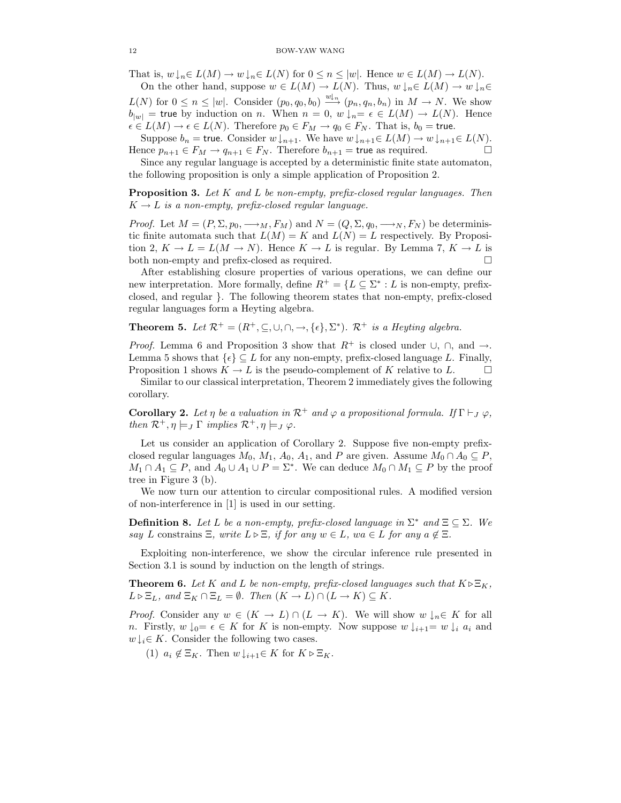That is,  $w \downarrow_n \in L(M) \to w \downarrow_n \in L(N)$  for  $0 \leq n \leq |w|$ . Hence  $w \in L(M) \to L(N)$ . On the other hand, suppose  $w \in L(M) \to L(N)$ . Thus,  $w \downarrow_n \in L(M) \to w \downarrow_n \in$ 

 $L(N)$  for  $0 \leq n \leq |w|$ . Consider  $(p_0, q_0, b_0) \xrightarrow{w \downarrow_n} (p_n, q_n, b_n)$  in  $M \to N$ . We show  $b_{|w|}$  = true by induction on n. When  $n = 0$ ,  $w \downarrow_n = \epsilon \in L(M) \to L(N)$ . Hence  $\epsilon \in L(M) \to \epsilon \in L(N)$ . Therefore  $p_0 \in F_M \to q_0 \in F_N$ . That is,  $b_0 =$  true.

Suppose  $b_n$  = true. Consider  $w \downarrow_{n+1}$ . We have  $w \downarrow_{n+1} \in L(M) \to w \downarrow_{n+1} \in L(N)$ . Hence  $p_{n+1} \in F_M \to q_{n+1} \in F_N$ . Therefore  $b_{n+1}$  = true as required.  $\Box$ 

Since any regular language is accepted by a deterministic finite state automaton, the following proposition is only a simple application of Proposition 2.

**Proposition 3.** Let K and L be non-empty, prefix-closed regular languages. Then  $K \rightarrow L$  is a non-empty, prefix-closed regular language.

*Proof.* Let  $M = (P, \Sigma, p_0, \longrightarrow_M, F_M)$  and  $N = (Q, \Sigma, q_0, \longrightarrow_N, F_N)$  be deterministic finite automata such that  $L(M) = K$  and  $L(N) = L$  respectively. By Proposition 2,  $K \to L = L(M \to N)$ . Hence  $K \to L$  is regular. By Lemma 7,  $K \to L$  is both non-empty and prefix-closed as required.  $\Box$ 

After establishing closure properties of various operations, we can define our new interpretation. More formally, define  $R^+ = \{L \subseteq \Sigma^* : L$  is non-empty, prefixclosed, and regular }. The following theorem states that non-empty, prefix-closed regular languages form a Heyting algebra.

**Theorem 5.** Let  $\mathcal{R}^+ = (R^+, \subseteq, \cup, \cap, \to, \{\epsilon\}, \Sigma^*)$ .  $\mathcal{R}^+$  is a Heyting algebra.

*Proof.* Lemma 6 and Proposition 3 show that  $R^+$  is closed under  $\cup$ ,  $\cap$ , and  $\rightarrow$ . Lemma 5 shows that  $\{\epsilon\} \subset L$  for any non-empty, prefix-closed language L. Finally, Proposition 1 shows  $K \to L$  is the pseudo-complement of K relative to L.  $\Box$ 

Similar to our classical interpretation, Theorem 2 immediately gives the following corollary.

**Corollary 2.** Let  $\eta$  be a valuation in  $\mathcal{R}^+$  and  $\varphi$  a propositional formula. If  $\Gamma \vdash_J \varphi$ , then  $\mathcal{R}^+$ ,  $\eta \models_J \Gamma$  implies  $\mathcal{R}^+$ ,  $\eta \models_J \varphi$ .

Let us consider an application of Corollary 2. Suppose five non-empty prefixclosed regular languages  $M_0$ ,  $M_1$ ,  $A_0$ ,  $A_1$ , and P are given. Assume  $M_0 \cap A_0 \subseteq P$ ,  $M_1 \cap A_1 \subseteq P$ , and  $A_0 \cup A_1 \cup P = \Sigma^*$ . We can deduce  $M_0 \cap M_1 \subseteq P$  by the proof tree in Figure 3 (b).

We now turn our attention to circular compositional rules. A modified version of non-interference in [1] is used in our setting.

**Definition 8.** Let L be a non-empty, prefix-closed language in  $\Sigma^*$  and  $\Xi \subseteq \Sigma$ . We say L constrains  $\Xi$ , write  $L \triangleright \Xi$ , if for any  $w \in L$ , wa  $\in L$  for any  $a \notin \Xi$ .

Exploiting non-interference, we show the circular inference rule presented in Section 3.1 is sound by induction on the length of strings.

**Theorem 6.** Let K and L be non-empty, prefix-closed languages such that  $K \triangleright \Xi_K$ ,  $L \triangleright \Xi_L$ , and  $\Xi_K \cap \Xi_L = \emptyset$ . Then  $(K \to L) \cap (L \to K) \subseteq K$ .

*Proof.* Consider any  $w \in (K \to L) \cap (L \to K)$ . We will show  $w \downarrow_n \in K$  for all n. Firstly,  $w \downarrow_0 = \epsilon \in K$  for K is non-empty. Now suppose  $w \downarrow_{i+1} = w \downarrow_i a_i$  and  $w \downarrow_i \in K$ . Consider the following two cases.

(1)  $a_i \notin \Xi_K$ . Then  $w \downarrow_{i+1} \in K$  for  $K \triangleright \Xi_K$ .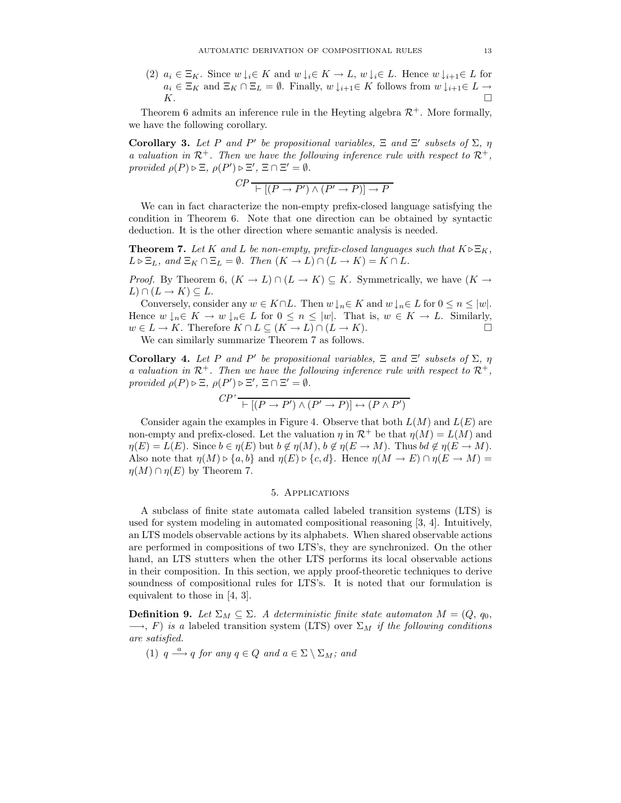(2)  $a_i \in \Xi_K$ . Since  $w \downarrow_i \in K$  and  $w \downarrow_i \in K \to L$ ,  $w \downarrow_i \in L$ . Hence  $w \downarrow_{i+1} \in L$  for  $a_i \in \Xi_K$  and  $\Xi_K \cap \Xi_L = \emptyset$ . Finally,  $w \downarrow_{i+1} \in K$  follows from  $w \downarrow_{i+1} \in L \to$  $K$ .

Theorem 6 admits an inference rule in the Heyting algebra  $\mathcal{R}^+$ . More formally, we have the following corollary.

**Corollary 3.** Let P and P' be propositional variables,  $\Xi$  and  $\Xi'$  subsets of  $\Sigma$ ,  $\eta$ a valuation in  $\mathcal{R}^+$ . Then we have the following inference rule with respect to  $\mathcal{R}^+$ , provided  $\rho(P) \triangleright \Xi$ ,  $\rho(P') \triangleright \Xi'$ ,  $\Xi \cap \Xi' = \emptyset$ .

$$
CP \xrightarrow{\qquad} [P \to P') \land (P' \to P)] \to P
$$

We can in fact characterize the non-empty prefix-closed language satisfying the condition in Theorem 6. Note that one direction can be obtained by syntactic deduction. It is the other direction where semantic analysis is needed.

**Theorem 7.** Let K and L be non-empty, prefix-closed languages such that  $K \triangleright \Xi_K$ ,  $L \triangleright \Xi_L$ , and  $\Xi_K \cap \Xi_L = \emptyset$ . Then  $(K \to L) \cap (L \to K) = K \cap L$ .

*Proof.* By Theorem 6,  $(K \to L) \cap (L \to K) \subseteq K$ . Symmetrically, we have  $(K \to$  $L\cap (L\to K)\subseteq L$ .

Conversely, consider any  $w \in K \cap L$ . Then  $w \downarrow_n \in K$  and  $w \downarrow_n \in L$  for  $0 \leq n \leq |w|$ . Hence  $w \downarrow_n \in K \to w \downarrow_n \in L$  for  $0 \le n \le |w|$ . That is,  $w \in K \to L$ . Similarly,  $w \in L \to K$ . Therefore  $K \cap L \subseteq (K \to L) \cap (L \to K)$ .

We can similarly summarize Theorem 7 as follows.

**Corollary 4.** Let P and P' be propositional variables,  $\Xi$  and  $\Xi'$  subsets of  $\Sigma$ ,  $\eta$ a valuation in  $\mathcal{R}^+$ . Then we have the following inference rule with respect to  $\mathcal{R}^+$ , provided  $\rho(P) \triangleright \Xi$ ,  $\rho(P') \triangleright \Xi'$ ,  $\Xi \cap \Xi' = \emptyset$ .

$$
CP' \xrightarrow[\top]{} [(P \to P') \land (P' \to P)] \leftrightarrow (P \land P')
$$

Consider again the examples in Figure 4. Observe that both  $L(M)$  and  $L(E)$  are non-empty and prefix-closed. Let the valuation  $\eta$  in  $\mathcal{R}^+$  be that  $\eta(M) = L(M)$  and  $\eta(E) = L(E)$ . Since  $b \in \eta(E)$  but  $b \notin \eta(M)$ ,  $b \notin \eta(E \to M)$ . Thus  $bd \notin \eta(E \to M)$ . Also note that  $\eta(M) \triangleright \{a, b\}$  and  $\eta(E) \triangleright \{c, d\}$ . Hence  $\eta(M \to E) \cap \eta(E \to M) =$  $\eta(M) \cap \eta(E)$  by Theorem 7.

## 5. Applications

A subclass of finite state automata called labeled transition systems (LTS) is used for system modeling in automated compositional reasoning [3, 4]. Intuitively, an LTS models observable actions by its alphabets. When shared observable actions are performed in compositions of two LTS's, they are synchronized. On the other hand, an LTS stutters when the other LTS performs its local observable actions in their composition. In this section, we apply proof-theoretic techniques to derive soundness of compositional rules for LTS's. It is noted that our formulation is equivalent to those in [4, 3].

**Definition 9.** Let  $\Sigma_M \subseteq \Sigma$ . A deterministic finite state automator  $M = (Q, q_0,$  $\rightarrow$ , F) is a labeled transition system (LTS) over  $\Sigma_M$  if the following conditions are satisfied.

(1)  $q \stackrel{a}{\longrightarrow} q$  for any  $q \in Q$  and  $a \in \Sigma \setminus \Sigma_M$ ; and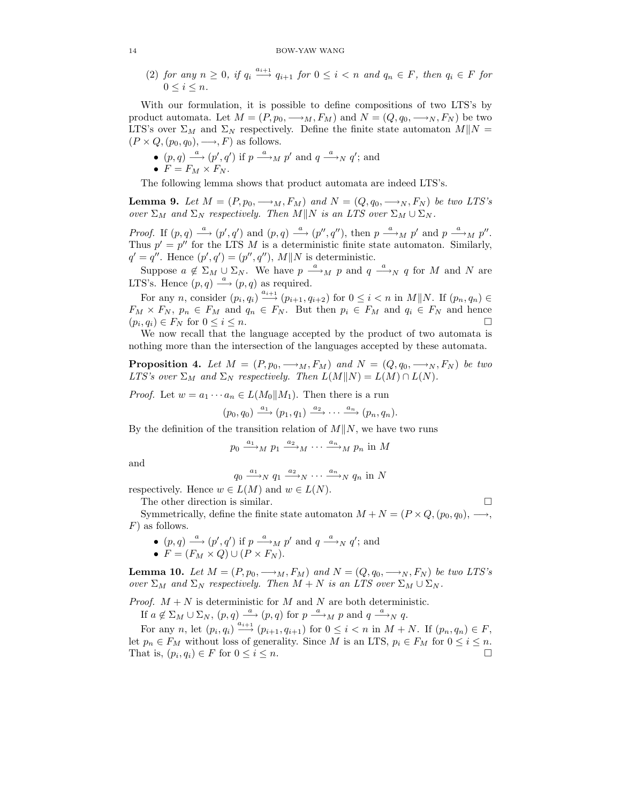## 14 BOW-YAW WANG

(2) for any  $n \geq 0$ , if  $q_i \stackrel{a_{i+1}}{\longrightarrow} q_{i+1}$  for  $0 \leq i < n$  and  $q_n \in F$ , then  $q_i \in F$  for  $0 \le i \le n$ .

With our formulation, it is possible to define compositions of two LTS's by product automata. Let  $M = (P, p_0, \longrightarrow_M, F_M)$  and  $N = (Q, q_0, \longrightarrow_N, F_N)$  be two LTS's over  $\Sigma_M$  and  $\Sigma_N$  respectively. Define the finite state automaton  $M||N =$  $(P \times Q, (p_0, q_0), \longrightarrow, F)$  as follows.

- $(p, q) \stackrel{a}{\longrightarrow} (p', q')$  if  $p \stackrel{a}{\longrightarrow}_M p'$  and  $q \stackrel{a}{\longrightarrow}_N q'$ ; and
- $F = F_M \times F_N$ .

The following lemma shows that product automata are indeed LTS's.

**Lemma 9.** Let  $M = (P, p_0, \longrightarrow_M, F_M)$  and  $N = (Q, q_0, \longrightarrow_N, F_N)$  be two LTS's over  $\Sigma_M$  and  $\Sigma_N$  respectively. Then  $M||N$  is an LTS over  $\Sigma_M \cup \Sigma_N$ .

*Proof.* If  $(p, q) \stackrel{a}{\longrightarrow} (p', q')$  and  $(p, q) \stackrel{a}{\longrightarrow} (p'', q'')$ , then  $p \stackrel{a}{\longrightarrow}_M p'$  and  $p \stackrel{a}{\longrightarrow}_M p''$ . Thus  $p' = p''$  for the LTS M is a deterministic finite state automaton. Similarly,  $q' = q''$ . Hence  $(p', q') = (p'', q'')$ ,  $M||N$  is deterministic.

Suppose  $a \notin \Sigma_M \cup \Sigma_N$ . We have  $p \stackrel{a}{\longrightarrow}_M p$  and  $q \stackrel{a}{\longrightarrow}_N q$  for M and N are LTS's. Hence  $(p, q) \stackrel{a}{\longrightarrow} (p, q)$  as required.

For any *n*, consider  $(p_i, q_i) \stackrel{a_{i+1}}{\longrightarrow} (p_{i+1}, q_{i+2})$  for  $0 \leq i < n$  in  $M||N$ . If  $(p_n, q_n) \in$  $F_M \times F_N$ ,  $p_n \in F_M$  and  $q_n \in F_N$ . But then  $p_i \in F_M$  and  $q_i \in F_N$  and hence  $(p_i, q_i) \in F_N$  for  $0 \leq i \leq n$ .

We now recall that the language accepted by the product of two automata is nothing more than the intersection of the languages accepted by these automata.

**Proposition 4.** Let  $M = (P, p_0, \longrightarrow_M, F_M)$  and  $N = (Q, q_0, \longrightarrow_N, F_N)$  be two LTS's over  $\Sigma_M$  and  $\Sigma_N$  respectively. Then  $L(M||N) = L(M) \cap L(N)$ .

*Proof.* Let  $w = a_1 \cdots a_n \in L(M_0||M_1)$ . Then there is a run

$$
(p_0, q_0) \xrightarrow{a_1} (p_1, q_1) \xrightarrow{a_2} \cdots \xrightarrow{a_n} (p_n, q_n).
$$

By the definition of the transition relation of  $M||N$ , we have two runs

$$
p_0 \xrightarrow{a_1} M p_1 \xrightarrow{a_2} M \cdots \xrightarrow{a_n} M p_n \text{ in } M
$$

and

$$
q_0 \xrightarrow{a_1} N q_1 \xrightarrow{a_2} N \cdots \xrightarrow{a_n} N q_n \text{ in } N
$$

respectively. Hence  $w \in L(M)$  and  $w \in L(N)$ .

The other direction is similar.

Symmetrically, define the finite state automaton  $M + N = (P \times Q, (p_0, q_0), \longrightarrow,$ F) as follows.

- $(p,q) \stackrel{a}{\longrightarrow} (p',q')$  if  $p \stackrel{a}{\longrightarrow}_M p'$  and  $q \stackrel{a}{\longrightarrow}_N q'$ ; and
- $F = (F_M \times Q) \cup (P \times F_N)$ .

**Lemma 10.** Let  $M = (P, p_0, \longrightarrow_M, F_M)$  and  $N = (Q, q_0, \longrightarrow_N, F_N)$  be two LTS's over  $\Sigma_M$  and  $\Sigma_N$  respectively. Then  $M + N$  is an LTS over  $\Sigma_M \cup \Sigma_N$ .

*Proof.*  $M + N$  is deterministic for M and N are both deterministic.

If  $a \notin \Sigma_M \cup \Sigma_N$ ,  $(p,q) \stackrel{a}{\longrightarrow} (p,q)$  for  $p \stackrel{a}{\longrightarrow_M} p$  and  $q \stackrel{a}{\longrightarrow_N} q$ .

For any n, let  $(p_i, q_i) \xrightarrow{a_{i+1}} (p_{i+1}, q_{i+1})$  for  $0 \leq i < n$  in  $M + N$ . If  $(p_n, q_n) \in F$ , let  $p_n \in F_M$  without loss of generality. Since M is an LTS,  $p_i \in F_M$  for  $0 \le i \le n$ . That is,  $(p_i, q_i) \in F$  for  $0 \leq i \leq n$ .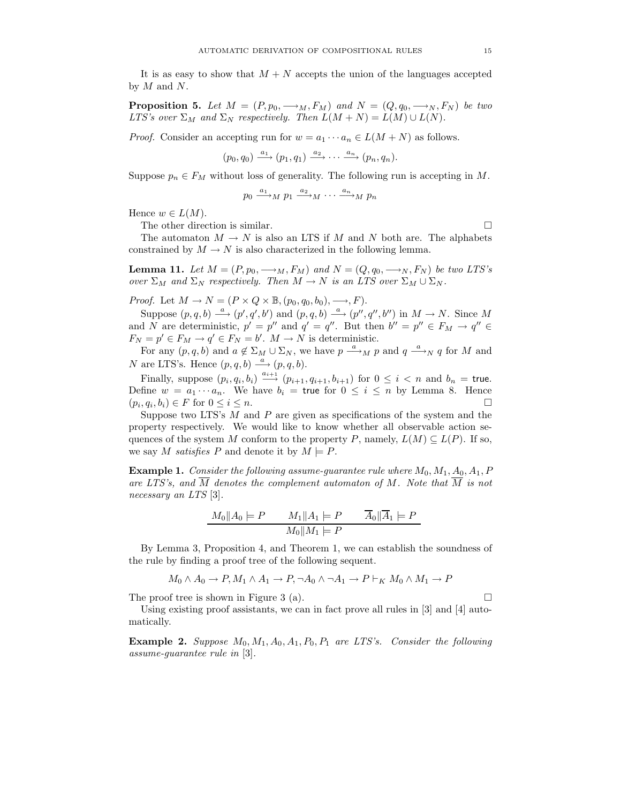It is as easy to show that  $M + N$  accepts the union of the languages accepted by  $M$  and  $N$ .

**Proposition 5.** Let  $M = (P, p_0, \longrightarrow_M, F_M)$  and  $N = (Q, q_0, \longrightarrow_N, F_N)$  be two LTS's over  $\Sigma_M$  and  $\Sigma_N$  respectively. Then  $L(M+N) = L(M) \cup L(N)$ .

*Proof.* Consider an accepting run for  $w = a_1 \cdots a_n \in L(M+N)$  as follows.

$$
(p_0, q_0) \xrightarrow{a_1} (p_1, q_1) \xrightarrow{a_2} \cdots \xrightarrow{a_n} (p_n, q_n).
$$

Suppose  $p_n \in F_M$  without loss of generality. The following run is accepting in M.

$$
p_0 \xrightarrow{a_1} M p_1 \xrightarrow{a_2} M \cdots \xrightarrow{a_n} M p_n
$$

Hence  $w \in L(M)$ .

The other direction is similar.  $\Box$ 

The automaton  $M \to N$  is also an LTS if M and N both are. The alphabets constrained by  $M \to N$  is also characterized in the following lemma.

**Lemma 11.** Let  $M = (P, p_0, \longrightarrow_M, F_M)$  and  $N = (Q, q_0, \longrightarrow_N, F_N)$  be two LTS's over  $\Sigma_M$  and  $\Sigma_N$  respectively. Then  $M \to N$  is an LTS over  $\Sigma_M \cup \Sigma_N$ .

*Proof.* Let  $M \to N = (P \times Q \times \mathbb{B}, (p_0, q_0, b_0), \longrightarrow, F)$ .

Suppose  $(p, q, b) \stackrel{a}{\longrightarrow} (p', q', b')$  and  $(p, q, b) \stackrel{a}{\longrightarrow} (p'', q'', b'')$  in  $M \to N$ . Since M and N are deterministic,  $p' = p''$  and  $q' = q''$ . But then  $b'' = p'' \in F_M \to q'' \in$  $F_N = p' \in F_M \to q' \in F_N = b'.$   $M \to N$  is deterministic.

For any  $(p, q, b)$  and  $a \notin \Sigma_M \cup \Sigma_N$ , we have  $p \stackrel{a}{\longrightarrow}_M p$  and  $q \stackrel{a}{\longrightarrow}_N q$  for M and N are LTS's. Hence  $(p, q, b) \xrightarrow{a} (p, q, b)$ .

Finally, suppose  $(p_i, q_i, b_i) \stackrel{a_{i+1}}{\longrightarrow} (p_{i+1}, q_{i+1}, b_{i+1})$  for  $0 \leq i < n$  and  $b_n =$  true. Define  $w = a_1 \cdots a_n$ . We have  $b_i = \text{true}$  for  $0 \le i \le n$  by Lemma 8. Hence  $(p_i, q_i, b_i) \in F$  for  $0 \leq i \leq n$ .

Suppose two LTS's  $M$  and  $P$  are given as specifications of the system and the property respectively. We would like to know whether all observable action sequences of the system M conform to the property P, namely,  $L(M) \subseteq L(P)$ . If so, we say M satisfies P and denote it by  $M \models P$ .

**Example 1.** Consider the following assume-quarantee rule where  $M_0, M_1, A_0, A_1, P$ are LTS's, and  $\overline{M}$  denotes the complement automaton of M. Note that  $\overline{M}$  is not necessary an LTS [3].

$$
M_0 \| A_0 \models P \qquad M_1 \| A_1 \models P \qquad \overline{A}_0 \| \overline{A}_1 \models P
$$

$$
M_0 \| M_1 \models P
$$

By Lemma 3, Proposition 4, and Theorem 1, we can establish the soundness of the rule by finding a proof tree of the following sequent.

$$
M_0 \wedge A_0 \to P, M_1 \wedge A_1 \to P, \neg A_0 \wedge \neg A_1 \to P \vdash_K M_0 \wedge M_1 \to P
$$

The proof tree is shown in Figure 3 (a).  $\Box$ 

Using existing proof assistants, we can in fact prove all rules in [3] and [4] automatically.

**Example 2.** Suppose  $M_0, M_1, A_0, A_1, P_0, P_1$  are LTS's. Consider the following assume-guarantee rule in [3].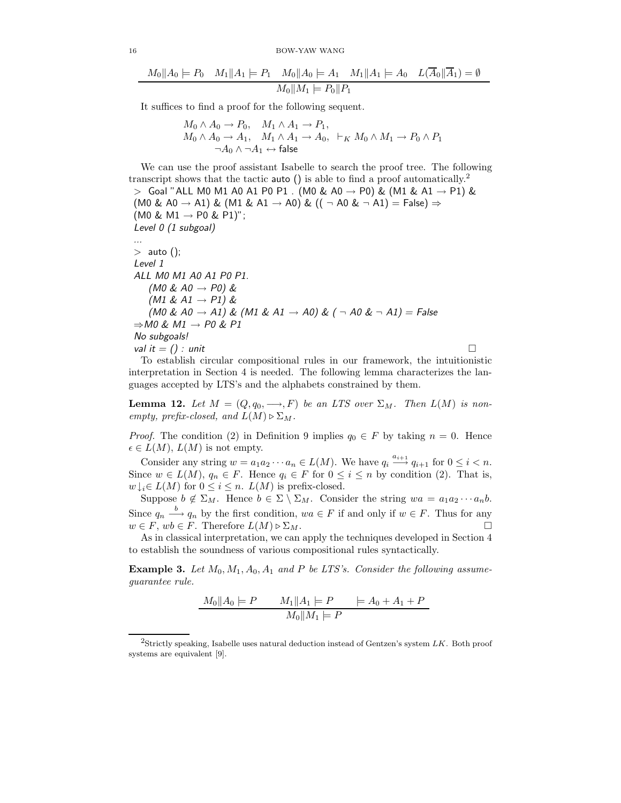16 BOW-YAW WANG

$$
M_0||A_0| = P_0 \quad M_1||A_1| = P_1 \quad M_0||A_0| = A_1 \quad M_1||A_1| = A_0 \quad L(\overline{A}_0||\overline{A}_1) = \emptyset
$$

$$
M_0||M_1| = P_0||P_1
$$

It suffices to find a proof for the following sequent.

$$
M_0 \wedge A_0 \to P_0, \quad M_1 \wedge A_1 \to P_1, M_0 \wedge A_0 \to A_1, \quad M_1 \wedge A_1 \to A_0, \quad \vdash_K M_0 \wedge M_1 \to P_0 \wedge P_1 \neg A_0 \wedge \neg A_1 \leftrightarrow \text{false}
$$

We can use the proof assistant Isabelle to search the proof tree. The following transcript shows that the tactic **auto** () is able to find a proof automatically.<sup>2</sup>  $>$  Goal "ALL M0 M1 A0 A1 P0 P1 . (M0 & A0  $\rightarrow$  P0) & (M1 & A1  $\rightarrow$  P1) & (M0 & A0  $\rightarrow$  A1) & (M1 & A1  $\rightarrow$  A0) & ((  $\neg$  A0 &  $\neg$  A1) = False)  $\Rightarrow$  $(M0 \& M1 \rightarrow P0 \& P1)$ "; Level 0 (1 subgoal) ...  $>$  auto (); Level 1 ALL M0 M1 A0 A1 P0 P1. (MO & AO  $\rightarrow$  PO) &  $(M1 \& AI \rightarrow P1) \&$ (M0 & A0  $\rightarrow$  A1) & (M1 & A1  $\rightarrow$  A0) & ( $\neg$  A0 &  $\neg$  A1) = False  $\Rightarrow$ M0 & M1  $\rightarrow$  P0 & P1 No subgoals! val it  $=$  () : unit To establish circular compositional rules in our framework, the intuitionistic

interpretation in Section 4 is needed. The following lemma characterizes the languages accepted by LTS's and the alphabets constrained by them.

**Lemma 12.** Let  $M = (Q, q_0, \longrightarrow, F)$  be an LTS over  $\Sigma_M$ . Then  $L(M)$  is nonempty, prefix-closed, and  $L(M) \triangleright \Sigma_M$ .

*Proof.* The condition (2) in Definition 9 implies  $q_0 \in F$  by taking  $n = 0$ . Hence  $\epsilon \in L(M)$ ,  $L(M)$  is not empty.

Consider any string  $w = a_1 a_2 \cdots a_n \in L(M)$ . We have  $q_i \stackrel{a_{i+1}}{\longrightarrow} q_{i+1}$  for  $0 \le i < n$ . Since  $w \in L(M)$ ,  $q_n \in F$ . Hence  $q_i \in F$  for  $0 \leq i \leq n$  by condition (2). That is,  $w \downarrow_i \in L(M)$  for  $0 \leq i \leq n$ .  $L(M)$  is prefix-closed.

Suppose  $b \notin \Sigma_M$ . Hence  $b \in \Sigma \setminus \Sigma_M$ . Consider the string  $wa = a_1 a_2 \cdots a_n b$ . Since  $q_n \stackrel{b}{\longrightarrow} q_n$  by the first condition,  $wa \in F$  if and only if  $w \in F$ . Thus for any  $w \in F$ ,  $wb \in F$ . Therefore  $L(M) \triangleright \Sigma_M$ .

As in classical interpretation, we can apply the techniques developed in Section 4 to establish the soundness of various compositional rules syntactically.

**Example 3.** Let  $M_0, M_1, A_0, A_1$  and P be LTS's. Consider the following assumeguarantee rule.

$$
M_0 \| A_0 \| = P \qquad M_1 \| A_1 \| = P \qquad \models A_0 + A_1 + P
$$

$$
M_0 \| M_1 \| = P
$$

<sup>&</sup>lt;sup>2</sup>Strictly speaking, Isabelle uses natural deduction instead of Gentzen's system  $LK$ . Both proof systems are equivalent [9].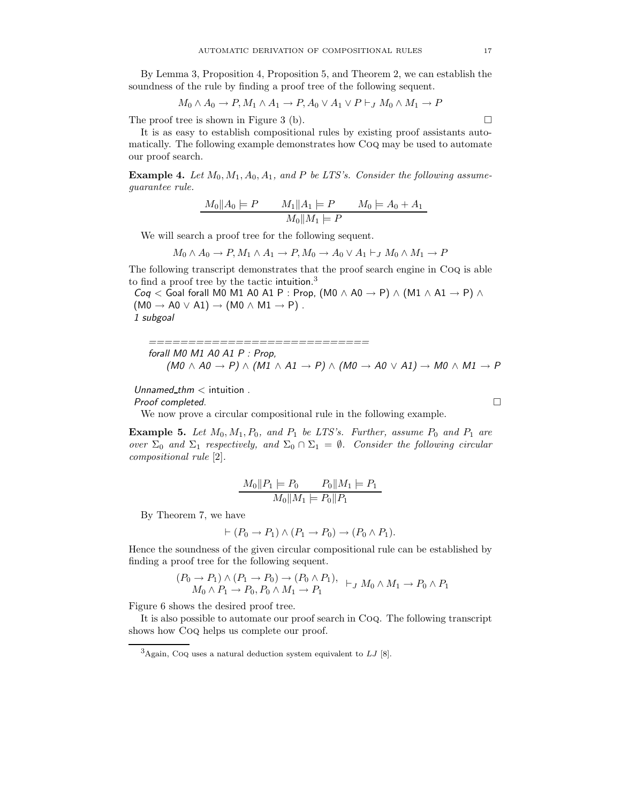By Lemma 3, Proposition 4, Proposition 5, and Theorem 2, we can establish the soundness of the rule by finding a proof tree of the following sequent.

$$
M_0 \wedge A_0 \to P, M_1 \wedge A_1 \to P, A_0 \vee A_1 \vee P \vdash_J M_0 \wedge M_1 \to P
$$

The proof tree is shown in Figure 3 (b).  $\Box$ 

It is as easy to establish compositional rules by existing proof assistants automatically. The following example demonstrates how Coq may be used to automate our proof search.

**Example 4.** Let  $M_0$ ,  $M_1$ ,  $A_0$ ,  $A_1$ , and P be LTS's. Consider the following assumeguarantee rule.

$$
M_0 \| A_0 \| = P \qquad M_1 \| A_1 \| = P \qquad M_0 \| = A_0 + A_1
$$

$$
M_0 \| M_1 \| = P
$$

We will search a proof tree for the following sequent.

$$
M_0 \wedge A_0 \to P, M_1 \wedge A_1 \to P, M_0 \to A_0 \vee A_1 \vdash_J M_0 \wedge M_1 \to P
$$

The following transcript demonstrates that the proof search engine in Coq is able to find a proof tree by the tactic intuition. 3

Coq < Goal forall M0 M1 A0 A1 P : Prop,  $(M0 \wedge A0 \rightarrow P) \wedge (M1 \wedge A1 \rightarrow P) \wedge$  $(M0 \rightarrow A0 \vee A1) \rightarrow (M0 \wedge M1 \rightarrow P)$ . 1 subgoal

============================ forall M0 M1 A0 A1 P : Prop,  $(M0 \land A0 \rightarrow P) \land (M1 \land A1 \rightarrow P) \land (M0 \rightarrow A0 \lor A1) \rightarrow M0 \land M1 \rightarrow P$ 

 $Unnamed_thm <$  intuition.

 $Proof$  completed.  $\Box$ 

We now prove a circular compositional rule in the following example.

**Example 5.** Let  $M_0, M_1, P_0$ , and  $P_1$  be LTS's. Further, assume  $P_0$  and  $P_1$  are over  $\Sigma_0$  and  $\Sigma_1$  respectively, and  $\Sigma_0 \cap \Sigma_1 = \emptyset$ . Consider the following circular compositional rule [2].

$$
\frac{M_0||P_1|| = P_0 \qquad P_0||M_1|| = P_1}{M_0||M_1|| = P_0||P_1}
$$

By Theorem 7, we have

$$
\vdash (P_0 \to P_1) \land (P_1 \to P_0) \to (P_0 \land P_1).
$$

Hence the soundness of the given circular compositional rule can be established by finding a proof tree for the following sequent.

$$
(P_0 \to P_1) \land (P_1 \to P_0) \to (P_0 \land P_1), \quad \vdash_J M_0 \land M_1 \to P_0 \land P_1
$$
  

$$
M_0 \land P_1 \to P_0, P_0 \land M_1 \to P_1
$$

Figure 6 shows the desired proof tree.

It is also possible to automate our proof search in Coq. The following transcript shows how Coq helps us complete our proof.

 $^3\!{\rm Again},$  CoQ uses a natural deduction system equivalent to  $LJ$  [8].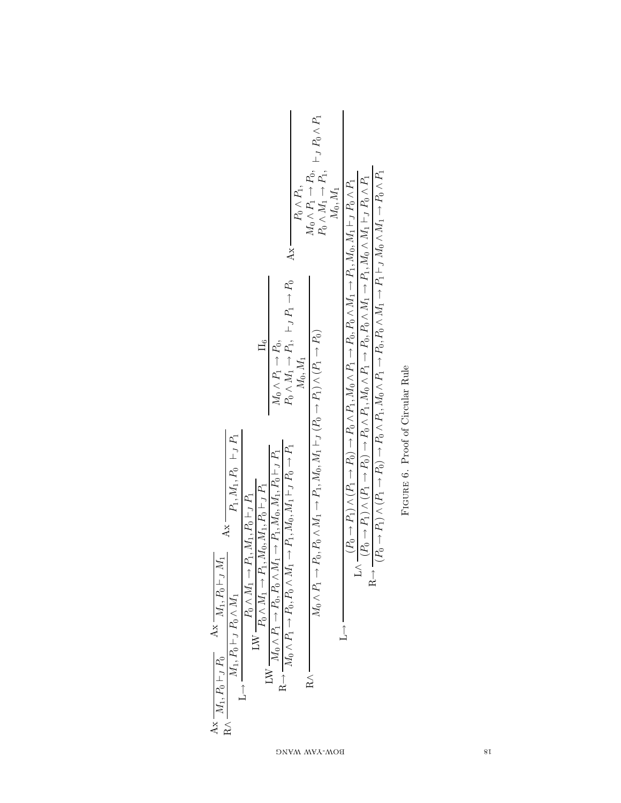|                                                                                                                                                                                                                                                                                            | $P_0 \wedge P_1,$<br>$A\mathbf{x}$                                                                                                                                                                                           | $M_0 \wedge P_1 \rightarrow P_0,$ $\vdash_J P_0 \wedge P_1$<br>$P_0 \wedge M_1 \rightarrow P_1,$<br>$M_0, M_1$                         |                                                                                                                                                                                                                                                                                                                                                                                                                                                                                                                                                                                        |
|--------------------------------------------------------------------------------------------------------------------------------------------------------------------------------------------------------------------------------------------------------------------------------------------|------------------------------------------------------------------------------------------------------------------------------------------------------------------------------------------------------------------------------|----------------------------------------------------------------------------------------------------------------------------------------|----------------------------------------------------------------------------------------------------------------------------------------------------------------------------------------------------------------------------------------------------------------------------------------------------------------------------------------------------------------------------------------------------------------------------------------------------------------------------------------------------------------------------------------------------------------------------------------|
| $\frac{16}{1}$                                                                                                                                                                                                                                                                             | $P_0 \wedge M_1 \rightarrow P_1, \vdash_J P_1 \rightarrow P_0$<br>$M_0 \wedge P_1 \rightarrow P_0$ ,<br>$M_0, M_1$                                                                                                           |                                                                                                                                        | $(P_0 \rightarrow P_1) \wedge (P_1 \rightarrow P_0) \rightarrow P_0 \wedge P_1, M_0 \wedge P_1 \rightarrow P_0, P_0 \wedge M_1 \rightarrow P_1 \vdash_J M_0 \wedge M_1 \rightarrow P_0 \wedge P_1$<br>$(P_0 \rightarrow P_1) \wedge (P_1 \rightarrow P_0) \rightarrow P_0 \wedge P_1, M_0 \wedge P_1 \rightarrow P_0, M_1 \rightarrow P_1, M_0 \wedge M_1 \vdash_I P_0 \wedge P_1$<br>$(P_0 \rightarrow P_1) \wedge (P_1 \rightarrow P_0) \rightarrow P_0 \wedge P_1$ , $M_0 \wedge P_1 \rightarrow P_0$ , $P_0 \wedge M_1 \rightarrow P_1$ , $M_0 \wedge M_1 \vdash_I P_0 \wedge P_1$ |
| $P_1, M_1, P_0 \hspace{0.1in} \vdash_J P_1$<br>$\label{eq:5} \mathrm{LW}\xrightarrow{\displaystyle P_0\wedge M_1\rightarrow P_1,M_1,P_0\vdash_J P_1} \hspace{-5pt}\mathrm{LW}\xrightarrow{\displaystyle P_0\wedge M_1\rightarrow P_1,M_0,M_1,P_0\vdash_J P_1}$<br>$Ax =$<br>$\overline{1}$ | $M_0 \wedge P_1 \rightarrow P_0$ , $P_0 \wedge M_1 \rightarrow P_1$ , $M_0$ , $M_1 \vdash_J P_0 \rightarrow P_1$<br>$M_0 \wedge P_1 \rightarrow P_0$ , $P_0 \wedge M_1 \rightarrow P_1$ , $M_0$ , $M_1$ , $P_0 \vdash_J P_1$ | $M_0 \wedge P_1 \rightarrow P_0, P_0 \wedge M_1 \rightarrow P_1, M_0, M_1 \vdash_J (P_0 \rightarrow P_1) \wedge (P_1 \rightarrow P_0)$ | $\leq$<br>トード                                                                                                                                                                                                                                                                                                                                                                                                                                                                                                                                                                          |
| Ax $\frac{M_1, P_0 \vdash_J P_0}{N}$ Ax $\frac{M_1, P_0 \vdash_J M_1}{N}$<br>$M_1, P_0 \vdash_J P_0 \wedge M_1$<br>$\frac{1}{1}$                                                                                                                                                           | $LW -$<br>$R \rightarrow -$                                                                                                                                                                                                  | $\lesssim$                                                                                                                             | $\overline{1}$                                                                                                                                                                                                                                                                                                                                                                                                                                                                                                                                                                         |

FIGURE 6. Proof of Circular Rule Figure 6. Proof of Circular Rule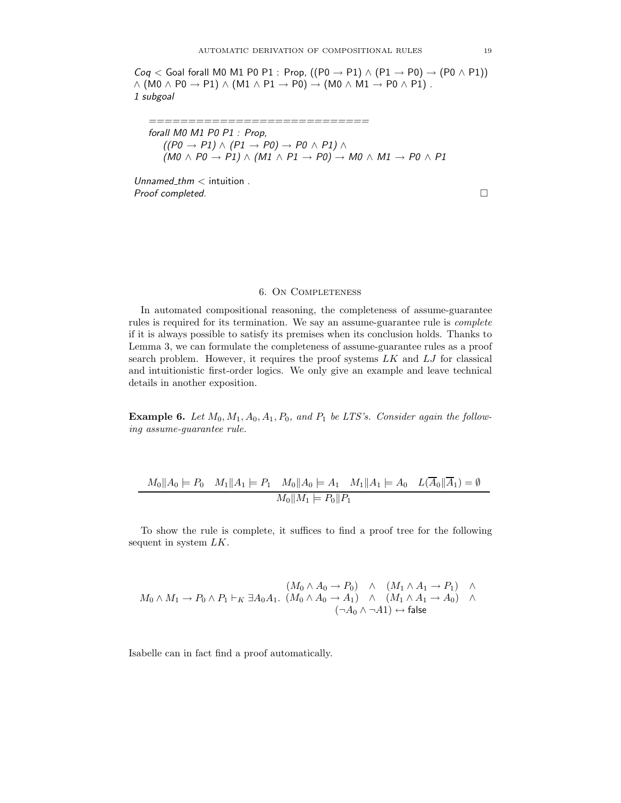$Cog <$  Goal forall M0 M1 P0 P1 : Prop,  $((P0 \rightarrow P1) \land (P1 \rightarrow P0) \rightarrow (P0 \land P1))$  $\wedge$  (M0  $\wedge$  P0  $\rightarrow$  P1)  $\wedge$  (M1  $\wedge$  P1  $\rightarrow$  P0)  $\rightarrow$  (M0  $\wedge$  M1  $\rightarrow$  P0  $\wedge$  P1). 1 subgoal

=============================== forall M0 M1 P0 P1 : Prop,  $((P0 \rightarrow P1) \land (P1 \rightarrow P0) \rightarrow P0 \land P1) \land$  $(M0 \wedge P0 \rightarrow P1) \wedge (M1 \wedge P1 \rightarrow P0) \rightarrow M0 \wedge M1 \rightarrow P0 \wedge P1$ 

 $Unnamed_thm <$  intuition. Proof completed.

 $\Box$ 

## 6. On Completeness

In automated compositional reasoning, the completeness of assume-guarantee rules is required for its termination. We say an assume-guarantee rule is complete if it is always possible to satisfy its premises when its conclusion holds. Thanks to Lemma 3, we can formulate the completeness of assume-guarantee rules as a proof search problem. However, it requires the proof systems  $LK$  and  $LJ$  for classical and intuitionistic first-order logics. We only give an example and leave technical details in another exposition.

**Example 6.** Let  $M_0, M_1, A_0, A_1, P_0$ , and  $P_1$  be LTS's. Consider again the following assume-guarantee rule.

$$
M_0||A_0 \models P_0 \quad M_1||A_1 \models P_1 \quad M_0||A_0 \models A_1 \quad M_1||A_1 \models A_0 \quad L(\overline{A}_0||\overline{A}_1) = \emptyset
$$

$$
M_0||M_1 \models P_0||P_1
$$

To show the rule is complete, it suffices to find a proof tree for the following sequent in system LK.

$$
(M_0 \wedge A_0 \rightarrow P_0) \wedge (M_1 \wedge A_1 \rightarrow P_1) \wedge M_0 \wedge M_1 \rightarrow P_0 \wedge P_1 \vdash_K \exists A_0 A_1. (M_0 \wedge A_0 \rightarrow A_1) \wedge (M_1 \wedge A_1 \rightarrow A_0) \wedge (\neg A_0 \wedge \neg A_1) \leftrightarrow \text{false}
$$

Isabelle can in fact find a proof automatically.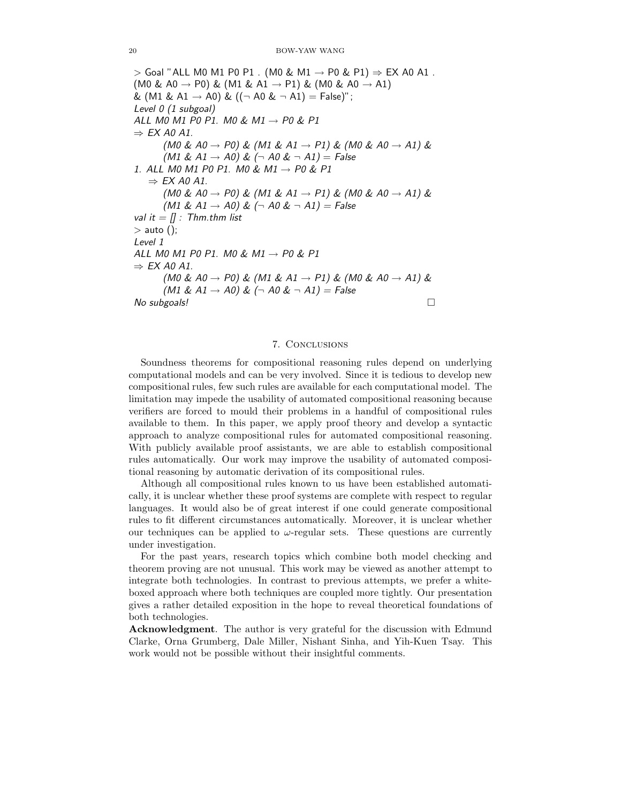$>$  Goal "ALL M0 M1 P0 P1 . (M0 & M1  $\rightarrow$  P0 & P1)  $\Rightarrow$  EX A0 A1 .  $(M0 \& A0 \rightarrow P0) \& (M1 \& A1 \rightarrow P1) \& (M0 \& A0 \rightarrow A1)$ &  $(M1 \& A1 \rightarrow A0) \& ((\neg A0 \& \neg A1) = False)$ "; Level 0 (1 subgoal) ALL MOM1 PO P1. MO & M1  $\rightarrow$  PO & P1  $\Rightarrow$  EX A0 A1. (M0 & A0  $\rightarrow$  P0) & (M1 & A1  $\rightarrow$  P1) & (M0 & A0  $\rightarrow$  A1) &  $(M1 \& A1 \rightarrow A0) \& (\neg A0 \& \neg A1) = False$ 1. ALL MOM1 PO P1. MO & M1  $\rightarrow$  PO & P1  $\Rightarrow$  EX A0 A1. (M0 & A0  $\rightarrow$  P0) & (M1 & A1  $\rightarrow$  P1) & (M0 & A0  $\rightarrow$  A1) &  $(M1 \& AI \rightarrow AO) \& (\neg A0 \& \neg AI) = False$ val it  $=$  [] : Thm.thm list  $>$  auto (); Level 1 ALL MO M1 PO P1. MO & M1  $\rightarrow$  PO & P1  $\Rightarrow$  EX A0 A1. (MO & AO  $\rightarrow$  PO) & (M1 & A1  $\rightarrow$  P1) & (M0 & AO  $\rightarrow$  A1) &  $(M1 \& A1 \rightarrow A0) \& (\neg A0 \& \neg A1) = False$ No subgoals!  $\Box$ 

## 7. Conclusions

Soundness theorems for compositional reasoning rules depend on underlying computational models and can be very involved. Since it is tedious to develop new compositional rules, few such rules are available for each computational model. The limitation may impede the usability of automated compositional reasoning because verifiers are forced to mould their problems in a handful of compositional rules available to them. In this paper, we apply proof theory and develop a syntactic approach to analyze compositional rules for automated compositional reasoning. With publicly available proof assistants, we are able to establish compositional rules automatically. Our work may improve the usability of automated compositional reasoning by automatic derivation of its compositional rules.

Although all compositional rules known to us have been established automatically, it is unclear whether these proof systems are complete with respect to regular languages. It would also be of great interest if one could generate compositional rules to fit different circumstances automatically. Moreover, it is unclear whether our techniques can be applied to  $\omega$ -regular sets. These questions are currently under investigation.

For the past years, research topics which combine both model checking and theorem proving are not unusual. This work may be viewed as another attempt to integrate both technologies. In contrast to previous attempts, we prefer a whiteboxed approach where both techniques are coupled more tightly. Our presentation gives a rather detailed exposition in the hope to reveal theoretical foundations of both technologies.

**Acknowledgment**. The author is very grateful for the discussion with Edmund Clarke, Orna Grumberg, Dale Miller, Nishant Sinha, and Yih-Kuen Tsay. This work would not be possible without their insightful comments.